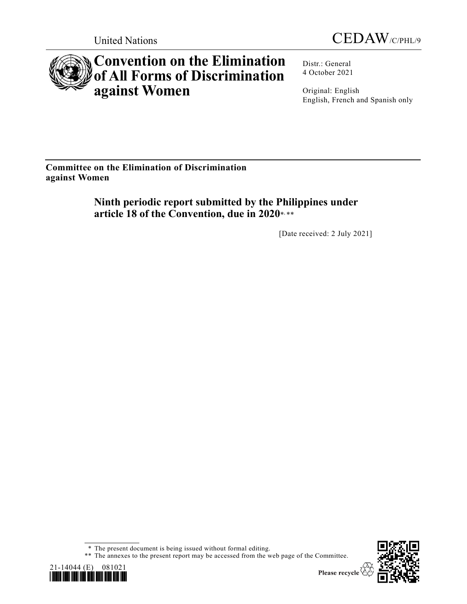



# **Convention on the Elimination of All Forms of Discrimination against Women**

Distr.: General 4 October 2021

Original: English English, French and Spanish only

**Committee on the Elimination of Discrimination against Women**

> **Ninth periodic report submitted by the Philippines under**  article 18 of the Convention, due in 2020\*.\*\*

> > [Date received: 2 July 2021]

<sup>\*\*</sup> The annexes to the present report may be accessed from the web page of the Committee.





<sup>\*</sup> The present document is being issued without formal editing.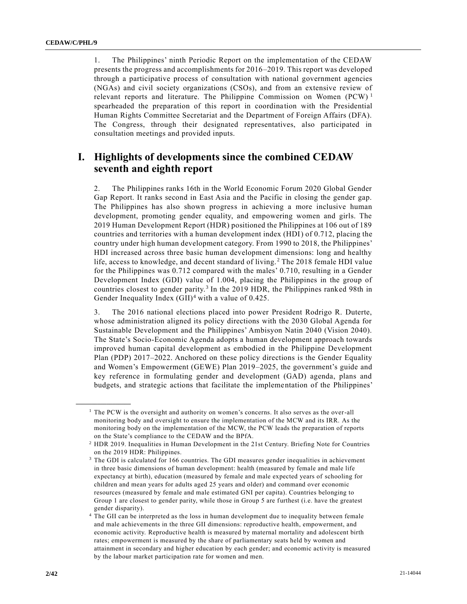1. The Philippines' ninth Periodic Report on the implementation of the CEDAW presents the progress and accomplishments for 2016–2019. This report was developed through a participative process of consultation with national government agencies (NGAs) and civil society organizations (CSOs), and from an extensive review of relevant reports and literature. The Philippine Commission on Women (PCW)<sup>1</sup> spearheaded the preparation of this report in coordination with the Presidential Human Rights Committee Secretariat and the Department of Foreign Affairs (DFA). The Congress, through their designated representatives, also participated in consultation meetings and provided inputs.

### **I. Highlights of developments since the combined CEDAW seventh and eighth report**

2. The Philippines ranks 16th in the World Economic Forum 2020 Global Gender Gap Report. It ranks second in East Asia and the Pacific in closing the gender gap. The Philippines has also shown progress in achieving a more inclusive human development, promoting gender equality, and empowering women and girls. The 2019 Human Development Report (HDR) positioned the Philippines at 106 out of 189 countries and territories with a human development index (HDI) of 0.712, placing the country under high human development category. From 1990 to 2018, the Philippines' HDI increased across three basic human development dimensions: long and healthy life, access to knowledge, and decent standard of living.<sup>2</sup> The 2018 female HDI value for the Philippines was 0.712 compared with the males' 0.710, resulting in a Gender Development Index (GDI) value of 1.004, placing the Philippines in the group of countries closest to gender parity.<sup>3</sup> In the 2019 HDR, the Philippines ranked 98th in Gender Inequality Index  $(GII)^4$  with a value of 0.425.

3. The 2016 national elections placed into power President Rodrigo R. Duterte, whose administration aligned its policy directions with the 2030 Global Agenda for Sustainable Development and the Philippines' Ambisyon Natin 2040 (Vision 2040). The State's Socio-Economic Agenda adopts a human development approach towards improved human capital development as embodied in the Philippine Development Plan (PDP) 2017–2022. Anchored on these policy directions is the Gender Equality and Women's Empowerment (GEWE) Plan 2019–2025, the government's guide and key reference in formulating gender and development (GAD) agenda, plans and budgets, and strategic actions that facilitate the implementation of the Philippines'

 $<sup>1</sup>$  The PCW is the oversight and authority on women's concerns. It also serves as the over-all</sup> monitoring body and oversight to ensure the implementation of the MCW and its IRR. As the monitoring body on the implementation of the MCW, the PCW leads the preparation of reports on the State's compliance to the CEDAW and the BPfA.

<sup>2</sup> HDR 2019. Inequalities in Human Development in the 21st Century. Briefing Note for Countries on the 2019 HDR: Philippines.

<sup>&</sup>lt;sup>3</sup> The GDI is calculated for 166 countries. The GDI measures gender inequalities in achievement in three basic dimensions of human development: health (measured by female and male life expectancy at birth), education (measured by female and male expected years of schooling for children and mean years for adults aged 25 years and older) and command over economic resources (measured by female and male estimated GNI per capita). Countries belonging to Group 1 are closest to gender parity, while those in Group 5 are furthest (i.e. have the greatest gender disparity).

<sup>4</sup> The GII can be interpreted as the loss in human development due to inequality between female and male achievements in the three GII dimensions: reproductive health, empowerment, and economic activity. Reproductive health is measured by maternal mortality and adolescent birth rates; empowerment is measured by the share of parliamentary seats held by women and attainment in secondary and higher education by each gender; and economic activity is measured by the labour market participation rate for women and men.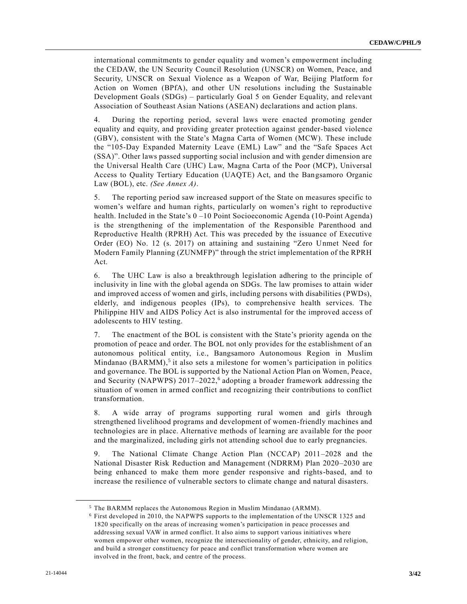international commitments to gender equality and women's empowerment including the CEDAW, the UN Security Council Resolution (UNSCR) on Women, Peace, and Security, UNSCR on Sexual Violence as a Weapon of War, Beijing Platform for Action on Women (BPfA), and other UN resolutions including the Sustainable Development Goals (SDGs) – particularly Goal 5 on Gender Equality, and relevant Association of Southeast Asian Nations (ASEAN) declarations and action plans.

4. During the reporting period, several laws were enacted promoting gender equality and equity, and providing greater protection against gender-based violence (GBV), consistent with the State's Magna Carta of Women (MCW). These include the "105-Day Expanded Maternity Leave (EML) Law" and the "Safe Spaces Act (SSA)". Other laws passed supporting social inclusion and with gender dimension are the Universal Health Care (UHC) Law, Magna Carta of the Poor (MCP), Universal Access to Quality Tertiary Education (UAQTE) Act, and the Bangsamoro Organic Law (BOL), etc. *(See Annex A)*.

5. The reporting period saw increased support of the State on measures specific to women's welfare and human rights, particularly on women's right to reproductive health. Included in the State's 0 –10 Point Socioeconomic Agenda (10-Point Agenda) is the strengthening of the implementation of the Responsible Parenthood and Reproductive Health (RPRH) Act. This was preceded by the issuance of Executive Order (EO) No. 12 (s. 2017) on attaining and sustaining "Zero Unmet Need for Modern Family Planning (ZUNMFP)" through the strict implementation of the RPRH Act.

6. The UHC Law is also a breakthrough legislation adhering to the principle of inclusivity in line with the global agenda on SDGs. The law promises to attain wider and improved access of women and girls, including persons with disabilities (PWDs), elderly, and indigenous peoples (IPs), to comprehensive health services. The Philippine HIV and AIDS Policy Act is also instrumental for the improved access of adolescents to HIV testing.

7. The enactment of the BOL is consistent with the State's priority agenda on the promotion of peace and order. The BOL not only provides for the establishment of an autonomous political entity, i.e., Bangsamoro Autonomous Region in Muslim Mindanao (BARMM),<sup>5</sup> it also sets a milestone for women's participation in politics and governance. The BOL is supported by the National Action Plan on Women, Peace, and Security (NAPWPS) 2017–2022,<sup>6</sup> adopting a broader framework addressing the situation of women in armed conflict and recognizing their contributions to conflict transformation.

8. A wide array of programs supporting rural women and girls through strengthened livelihood programs and development of women-friendly machines and technologies are in place. Alternative methods of learning are available for the poor and the marginalized, including girls not attending school due to early pregnancies.

9. The National Climate Change Action Plan (NCCAP) 2011–2028 and the National Disaster Risk Reduction and Management (NDRRM) Plan 2020–2030 are being enhanced to make them more gender responsive and rights-based, and to increase the resilience of vulnerable sectors to climate change and natural disasters.

<sup>5</sup> The BARMM replaces the Autonomous Region in Muslim Mindanao (ARMM).

<sup>6</sup> First developed in 2010, the NAPWPS supports to the implementation of the UNSCR 1325 and 1820 specifically on the areas of increasing women's participation in peace processes and addressing sexual VAW in armed conflict. It also aims to support various initiatives where women empower other women, recognize the intersectionality of gender, ethnicity, and religion, and build a stronger constituency for peace and conflict transformation where women are involved in the front, back, and centre of the process.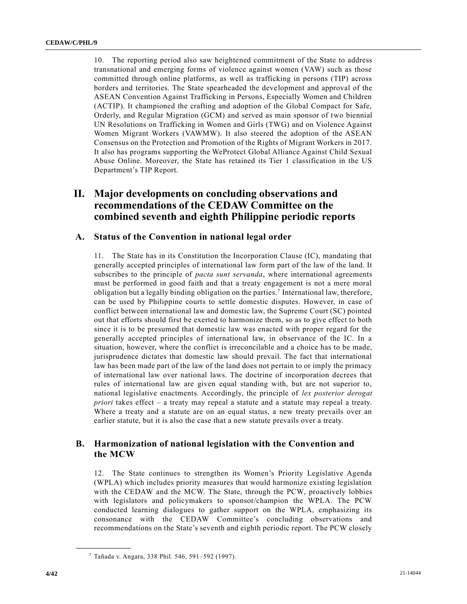10. The reporting period also saw heightened commitment of the State to address transnational and emerging forms of violence against women (VAW) such as those committed through online platforms, as well as trafficking in persons (TIP) across borders and territories. The State spearheaded the development and approval of the ASEAN Convention Against Trafficking in Persons, Especially Women and Children (ACTIP). It championed the crafting and adoption of the Global Compact for Safe, Orderly, and Regular Migration (GCM) and served as main sponsor of two biennial UN Resolutions on Trafficking in Women and Girls (TWG) and on Violence Against Women Migrant Workers (VAWMW). It also steered the adoption of the ASEAN Consensus on the Protection and Promotion of the Rights of Migrant Workers in 2017. It also has programs supporting the WeProtect Global Alliance Against Child Sexual Abuse Online. Moreover, the State has retained its Tier 1 classification in the US Department's TIP Report.

### **II. Major developments on concluding observations and recommendations of the CEDAW Committee on the combined seventh and eighth Philippine periodic reports**

### **A. Status of the Convention in national legal order**

11. The State has in its Constitution the Incorporation Clause (IC), mandating that generally accepted principles of international law form part of the law of the land. It subscribes to the principle of *pacta sunt servanda*, where international agreements must be performed in good faith and that a treaty engagement is not a mere moral obligation but a legally binding obligation on the parties.<sup>7</sup> International law, therefore, can be used by Philippine courts to settle domestic disputes. However, in case of conflict between international law and domestic law, the Supreme Court (SC) pointed out that efforts should first be exerted to harmonize them, so as to give effect to both since it is to be presumed that domestic law was enacted with proper regard for the generally accepted principles of international law, in observance of the IC. In a situation, however, where the conflict is irreconcilable and a choice has to be made, jurisprudence dictates that domestic law should prevail. The fact that international law has been made part of the law of the land does not pertain to or imply the primacy of international law over national laws. The doctrine of incorporation decrees that rules of international law are given equal standing with, but are not superior to, national legislative enactments. Accordingly, the principle of *lex posterior derogat priori* takes effect – a treaty may repeal a statute and a statute may repeal a treaty. Where a treaty and a statute are on an equal status, a new treaty prevails over an earlier statute, but it is also the case that a new statute prevails over a treaty.

### **B. Harmonization of national legislation with the Convention and the MCW**

12. The State continues to strengthen its Women's Priority Legislative Agenda (WPLA) which includes priority measures that would harmonize existing legislation with the CEDAW and the MCW. The State, through the PCW, proactively lobbies with legislators and policymakers to sponsor/champion the WPLA. The PCW conducted learning dialogues to gather support on the WPLA, emphasizing its consonance with the CEDAW Committee's concluding observations and recommendations on the State's seventh and eighth periodic report. The PCW closely

<sup>7</sup> Tañada v. Angara, 338 Phil. 546, 591–592 (1997).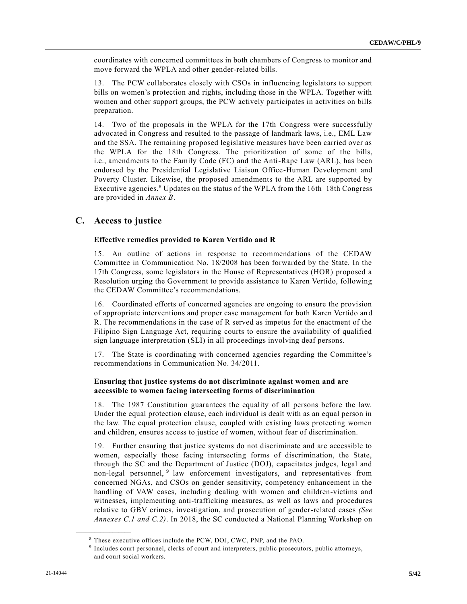coordinates with concerned committees in both chambers of Congress to monitor and move forward the WPLA and other gender-related bills.

13. The PCW collaborates closely with CSOs in influencing legislators to support bills on women's protection and rights, including those in the WPLA. Together with women and other support groups, the PCW actively participates in activities on bills preparation.

14. Two of the proposals in the WPLA for the 17th Congress were successfully advocated in Congress and resulted to the passage of landmark laws, i.e., EML Law and the SSA. The remaining proposed legislative measures have been carried over as the WPLA for the 18th Congress. The prioritization of some of the bills, i.e., amendments to the Family Code (FC) and the Anti-Rape Law (ARL), has been endorsed by the Presidential Legislative Liaison Office-Human Development and Poverty Cluster. Likewise, the proposed amendments to the ARL are supported by Executive agencies.<sup>8</sup> Updates on the status of the WPLA from the 16th–18th Congress are provided in *Annex B*.

### **C. Access to justice**

#### **Effective remedies provided to Karen Vertido and R**

15. An outline of actions in response to recommendations of the CEDAW Committee in Communication No. 18/2008 has been forwarded by the State. In the 17th Congress, some legislators in the House of Representatives (HOR) proposed a Resolution urging the Government to provide assistance to Karen Vertido, following the CEDAW Committee's recommendations.

16. Coordinated efforts of concerned agencies are ongoing to ensure the provision of appropriate interventions and proper case management for both Karen Vertido an d R. The recommendations in the case of R served as impetus for the enactment of the Filipino Sign Language Act, requiring courts to ensure the availability of qualified sign language interpretation (SLI) in all proceedings involving deaf persons.

17. The State is coordinating with concerned agencies regarding the Committee's recommendations in Communication No. 34/2011.

#### **Ensuring that justice systems do not discriminate against women and are accessible to women facing intersecting forms of discrimination**

18. The 1987 Constitution guarantees the equality of all persons before the law. Under the equal protection clause, each individual is dealt with as an equal person in the law. The equal protection clause, coupled with existing laws protecting women and children, ensures access to justice of women, without fear of discrimination.

19. Further ensuring that justice systems do not discriminate and are accessible to women, especially those facing intersecting forms of discrimination, the State, through the SC and the Department of Justice (DOJ), capacitates judges, legal and non-legal personnel, <sup>9</sup> law enforcement investigators, and representatives from concerned NGAs, and CSOs on gender sensitivity, competency enhancement in the handling of VAW cases, including dealing with women and children-victims and witnesses, implementing anti-trafficking measures, as well as laws and procedures relative to GBV crimes, investigation, and prosecution of gender-related cases *(See Annexes C.1 and C.2)*. In 2018, the SC conducted a National Planning Workshop on

<sup>8</sup> These executive offices include the PCW, DOJ, CWC, PNP, and the PAO.

<sup>9</sup> Includes court personnel, clerks of court and interpreters, public prosecutors, public attorneys, and court social workers.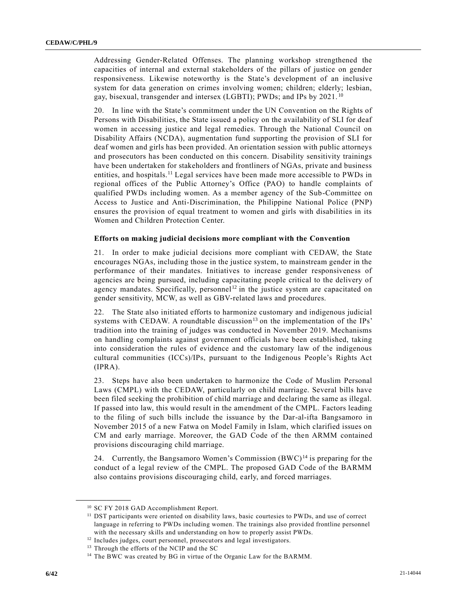Addressing Gender-Related Offenses. The planning workshop strengthened the capacities of internal and external stakeholders of the pillars of justice on gender responsiveness. Likewise noteworthy is the State's development of an inclusive system for data generation on crimes involving women; children; elderly; lesbian, gay, bisexual, transgender and intersex (LGBTI); PWDs; and IPs by 2021. <sup>10</sup>

20. In line with the State's commitment under the UN Convention on the Rights of Persons with Disabilities, the State issued a policy on the availability of SLI for deaf women in accessing justice and legal remedies. Through the National Council on Disability Affairs (NCDA), augmentation fund supporting the provision of SLI for deaf women and girls has been provided. An orientation session with public attorneys and prosecutors has been conducted on this concern. Disability sensitivity trainings have been undertaken for stakeholders and frontliners of NGAs, private and business entities, and hospitals.<sup>11</sup> Legal services have been made more accessible to PWDs in regional offices of the Public Attorney's Office (PAO) to handle complaints of qualified PWDs including women. As a member agency of the Sub-Committee on Access to Justice and Anti-Discrimination, the Philippine National Police (PNP) ensures the provision of equal treatment to women and girls with disabilities in its Women and Children Protection Center.

#### **Efforts on making judicial decisions more compliant with the Convention**

21. In order to make judicial decisions more compliant with CEDAW, the State encourages NGAs, including those in the justice system, to mainstream gender in the performance of their mandates. Initiatives to increase gender responsiveness of agencies are being pursued, including capacitating people critical to the delivery of agency mandates. Specifically, personnel<sup>12</sup> in the justice system are capacitated on gender sensitivity, MCW, as well as GBV-related laws and procedures.

22. The State also initiated efforts to harmonize customary and indigenous judicial systems with CEDAW. A roundtable discussion<sup>13</sup> on the implementation of the IPs' tradition into the training of judges was conducted in November 2019. Mechanisms on handling complaints against government officials have been established, taking into consideration the rules of evidence and the customary law of the indigenous cultural communities (ICCs)/IPs, pursuant to the Indigenous People's Rights Act (IPRA).

23. Steps have also been undertaken to harmonize the Code of Muslim Personal Laws (CMPL) with the CEDAW, particularly on child marriage. Several bills have been filed seeking the prohibition of child marriage and declaring the same as illegal. If passed into law, this would result in the amendment of the CMPL. Factors leading to the filing of such bills include the issuance by the Dar-al-ifta Bangsamoro in November 2015 of a new Fatwa on Model Family in Islam, which clarified issues on CM and early marriage. Moreover, the GAD Code of the then ARMM contained provisions discouraging child marriage.

24. Currently, the Bangsamoro Women's Commission  $(BWC)^{14}$  is preparing for the conduct of a legal review of the CMPL. The proposed GAD Code of the BARMM also contains provisions discouraging child, early, and forced marriages.

<sup>10</sup> SC FY 2018 GAD Accomplishment Report.

<sup>&</sup>lt;sup>11</sup> DST participants were oriented on disability laws, basic courtesies to PWDs, and use of correct language in referring to PWDs including women. The trainings also provided frontline personnel with the necessary skills and understanding on how to properly assist PWDs.

<sup>&</sup>lt;sup>12</sup> Includes judges, court personnel, prosecutors and legal investigators.

<sup>&</sup>lt;sup>13</sup> Through the efforts of the NCIP and the SC

<sup>&</sup>lt;sup>14</sup> The BWC was created by BG in virtue of the Organic Law for the BARMM.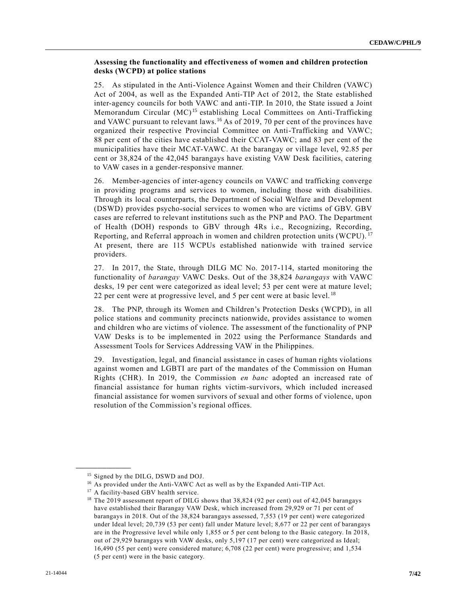#### **Assessing the functionality and effectiveness of women and children protection desks (WCPD) at police stations**

25. As stipulated in the Anti-Violence Against Women and their Children (VAWC) Act of 2004, as well as the Expanded Anti-TIP Act of 2012, the State established inter-agency councils for both VAWC and anti-TIP. In 2010, the State issued a Joint Memorandum Circular (MC)<sup>15</sup> establishing Local Committees on Anti-Trafficking and VAWC pursuant to relevant laws.<sup>16</sup> As of 2019, 70 per cent of the provinces have organized their respective Provincial Committee on Anti-Trafficking and VAWC; 88 per cent of the cities have established their CCAT-VAWC; and 83 per cent of the municipalities have their MCAT-VAWC. At the barangay or village level, 92.85 per cent or 38,824 of the 42,045 barangays have existing VAW Desk facilities, catering to VAW cases in a gender-responsive manner.

26. Member-agencies of inter-agency councils on VAWC and trafficking converge in providing programs and services to women, including those with disabilities. Through its local counterparts, the Department of Social Welfare and Development (DSWD) provides psycho-social services to women who are victims of GBV. GBV cases are referred to relevant institutions such as the PNP and PAO. The Department of Health (DOH) responds to GBV through 4Rs i.e., Recognizing, Recording, Reporting, and Referral approach in women and children protection units (WCPU). <sup>17</sup> At present, there are 115 WCPUs established nationwide with trained service providers.

27. In 2017, the State, through DILG MC No. 2017-114, started monitoring the functionality of *barangay* VAWC Desks. Out of the 38,824 *barangays* with VAWC desks, 19 per cent were categorized as ideal level; 53 per cent were at mature level; 22 per cent were at progressive level, and 5 per cent were at basic level.<sup>18</sup>

28. The PNP, through its Women and Children's Protection Desks (WCPD), in all police stations and community precincts nationwide, provides assistance to women and children who are victims of violence. The assessment of the functionality of PNP VAW Desks is to be implemented in 2022 using the Performance Standards and Assessment Tools for Services Addressing VAW in the Philippines.

29. Investigation, legal, and financial assistance in cases of human rights violations against women and LGBTI are part of the mandates of the Commission on Human Rights (CHR). In 2019, the Commission *en banc* adopted an increased rate of financial assistance for human rights victim-survivors, which included increased financial assistance for women survivors of sexual and other forms of violence, upon resolution of the Commission's regional offices.

<sup>&</sup>lt;sup>15</sup> Signed by the DILG, DSWD and DOJ.

<sup>&</sup>lt;sup>16</sup> As provided under the Anti-VAWC Act as well as by the Expanded Anti-TIP Act.

<sup>&</sup>lt;sup>17</sup> A facility-based GBV health service.

<sup>&</sup>lt;sup>18</sup> The 2019 assessment report of DILG shows that 38,824 (92 per cent) out of 42,045 barangays have established their Barangay VAW Desk, which increased from 29,929 or 71 per cent of barangays in 2018. Out of the 38,824 barangays assessed, 7,553 (19 per cent) were categorized under Ideal level; 20,739 (53 per cent) fall under Mature level; 8,677 or 22 per cent of barangays are in the Progressive level while only 1,855 or 5 per cent belong to the Basic category. In 2018, out of 29,929 barangays with VAW desks, only 5,197 (17 per cent) were categorized as Ideal; 16,490 (55 per cent) were considered mature; 6,708 (22 per cent) were progressive; and 1,534 (5 per cent) were in the basic category.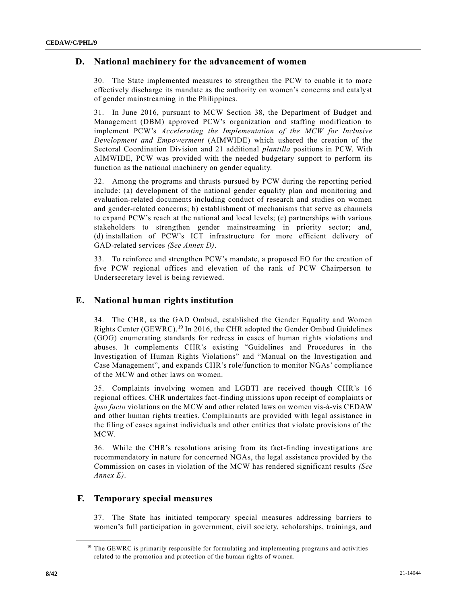### **D. National machinery for the advancement of women**

30. The State implemented measures to strengthen the PCW to enable it to more effectively discharge its mandate as the authority on women's concerns and catalyst of gender mainstreaming in the Philippines.

31. In June 2016, pursuant to MCW Section 38, the Department of Budget and Management (DBM) approved PCW's organization and staffing modification to implement PCW's *Accelerating the Implementation of the MCW for Inclusive Development and Empowerment* (AIMWIDE) which ushered the creation of the Sectoral Coordination Division and 21 additional *plantilla* positions in PCW. With AIMWIDE, PCW was provided with the needed budgetary support to perform its function as the national machinery on gender equality.

32. Among the programs and thrusts pursued by PCW during the reporting period include: (a) development of the national gender equality plan and monitoring and evaluation-related documents including conduct of research and studies on women and gender-related concerns; b) establishment of mechanisms that serve as channels to expand PCW's reach at the national and local levels; (c) partnerships with various stakeholders to strengthen gender mainstreaming in priority sector; and, (d) installation of PCW's ICT infrastructure for more efficient delivery of GAD-related services *(See Annex D)*.

33. To reinforce and strengthen PCW's mandate, a proposed EO for the creation of five PCW regional offices and elevation of the rank of PCW Chairperson to Undersecretary level is being reviewed.

### **E. National human rights institution**

34. The CHR, as the GAD Ombud, established the Gender Equality and Women Rights Center (GEWRC).<sup>19</sup> In 2016, the CHR adopted the Gender Ombud Guidelines (GOG) enumerating standards for redress in cases of human rights violations and abuses. It complements CHR's existing "Guidelines and Procedures in the Investigation of Human Rights Violations" and "Manual on the Investigation and Case Management", and expands CHR's role/function to monitor NGAs' compliance of the MCW and other laws on women.

35. Complaints involving women and LGBTI are received though CHR's 16 regional offices. CHR undertakes fact-finding missions upon receipt of complaints or *ipso facto* violations on the MCW and other related laws on women vis-à-vis CEDAW and other human rights treaties. Complainants are provided with legal assistance in the filing of cases against individuals and other entities that violate provisions of the MCW.

36. While the CHR's resolutions arising from its fact-finding investigations are recommendatory in nature for concerned NGAs, the legal assistance provided by the Commission on cases in violation of the MCW has rendered significant results *(See Annex E)*.

### **F. Temporary special measures**

**\_\_\_\_\_\_\_\_\_\_\_\_\_\_\_\_\_\_**

37. The State has initiated temporary special measures addressing barriers to women's full participation in government, civil society, scholarships, trainings, and

<sup>&</sup>lt;sup>19</sup> The GEWRC is primarily responsible for formulating and implementing programs and activities related to the promotion and protection of the human rights of women.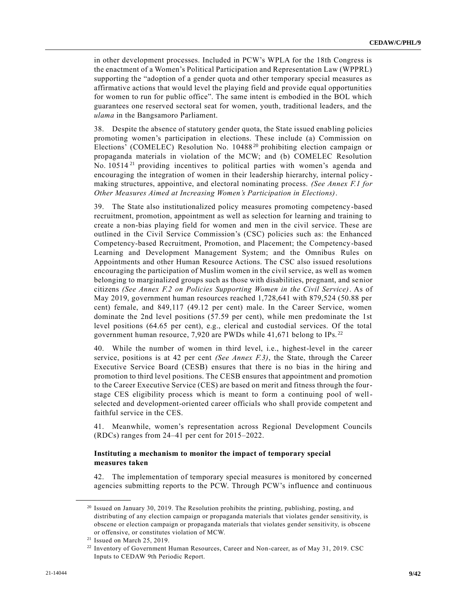in other development processes. Included in PCW's WPLA for the 18th Congress is the enactment of a Women's Political Participation and Representation Law (WPPRL) supporting the "adoption of a gender quota and other temporary special measures as affirmative actions that would level the playing field and provide equal opportunities for women to run for public office". The same intent is embodied in the BOL which guarantees one reserved sectoral seat for women, youth, traditional leaders, and the *ulama* in the Bangsamoro Parliament.

38. Despite the absence of statutory gender quota, the State issued enabling policies promoting women's participation in elections. These include (a) Commission on Elections' (COMELEC) Resolution No. 10488<sup>20</sup> prohibiting election campaign or propaganda materials in violation of the MCW; and (b) COMELEC Resolution No. 10514<sup>21</sup> providing incentives to political parties with women's agenda and encouraging the integration of women in their leadership hierarchy, internal policy making structures, appointive, and electoral nominating process. *(See Annex F.1 for Other Measures Aimed at Increasing Women's Participation in Elections)*.

39. The State also institutionalized policy measures promoting competency-based recruitment, promotion, appointment as well as selection for learning and training to create a non-bias playing field for women and men in the civil service. These are outlined in the Civil Service Commission's (CSC) policies such as: the Enhanced Competency-based Recruitment, Promotion, and Placement; the Competency-based Learning and Development Management System; and the Omnibus Rules on Appointments and other Human Resource Actions. The CSC also issued resolutions encouraging the participation of Muslim women in the civil service, as well as women belonging to marginalized groups such as those with disabilities, pregnant, and senior citizens *(See Annex F.2 on Policies Supporting Women in the Civil Service)*. As of May 2019, government human resources reached 1,728,641 with 879,524 (50.88 per cent) female, and 849,117 (49.12 per cent) male. In the Career Service, women dominate the 2nd level positions (57.59 per cent), while men predominate the 1st level positions (64.65 per cent), e.g., clerical and custodial services. Of the total government human resource, 7,920 are PWDs while 41,671 belong to IPs. <sup>22</sup>

40. While the number of women in third level, i.e., highest-level in the career service, positions is at 42 per cent *(See Annex F.3)*, the State, through the Career Executive Service Board (CESB) ensures that there is no bias in the hiring and promotion to third level positions. The CESB ensures that appointment and promotion to the Career Executive Service (CES) are based on merit and fitness through the fourstage CES eligibility process which is meant to form a continuing pool of wellselected and development-oriented career officials who shall provide competent and faithful service in the CES.

41. Meanwhile, women's representation across Regional Development Councils (RDCs) ranges from 24–41 per cent for 2015–2022.

#### **Instituting a mechanism to monitor the impact of temporary special measures taken**

42. The implementation of temporary special measures is monitored by concerned agencies submitting reports to the PCW. Through PCW's influence and continuous

<sup>&</sup>lt;sup>20</sup> Issued on January 30, 2019. The Resolution prohibits the printing, publishing, posting, and distributing of any election campaign or propaganda materials that violates gender sensitivity, is obscene or election campaign or propaganda materials that violates gender sensitivity, is obscene or offensive, or constitutes violation of MCW.

<sup>21</sup> Issued on March 25, 2019.

<sup>22</sup> Inventory of Government Human Resources, Career and Non-career, as of May 31, 2019. CSC Inputs to CEDAW 9th Periodic Report.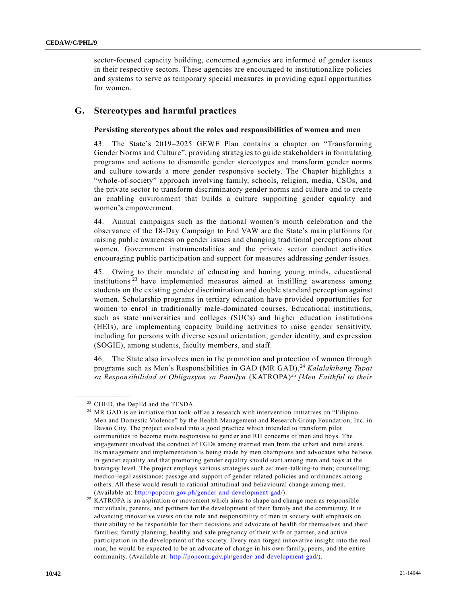sector-focused capacity building, concerned agencies are informed of gender issues in their respective sectors. These agencies are encouraged to institutionalize policies and systems to serve as temporary special measures in providing equal opportunities for women.

### **G. Stereotypes and harmful practices**

#### **Persisting stereotypes about the roles and responsibilities of women and men**

43. The State's 2019–2025 GEWE Plan contains a chapter on "Transforming Gender Norms and Culture", providing strategies to guide stakeholders in formulating programs and actions to dismantle gender stereotypes and transform gender norms and culture towards a more gender responsive society. The Chapter highlights a "whole-of-society" approach involving family, schools, religion, media, CSOs, and the private sector to transform discriminatory gender norms and culture and to create an enabling environment that builds a culture supporting gender equality and women's empowerment.

44. Annual campaigns such as the national women's month celebration and the observance of the 18-Day Campaign to End VAW are the State's main platforms for raising public awareness on gender issues and changing traditional perceptions about women. Government instrumentalities and the private sector conduct activities encouraging public participation and support for measures addressing gender issues.

45. Owing to their mandate of educating and honing young minds, educational institutions<sup>23</sup> have implemented measures aimed at instilling awareness among students on the existing gender discrimination and double standard perception against women. Scholarship programs in tertiary education have provided opportunities for women to enrol in traditionally male-dominated courses. Educational institutions, such as state universities and colleges (SUCs) and higher education institutions (HEIs), are implementing capacity building activities to raise gender sensitivity, including for persons with diverse sexual orientation, gender identity, and expression (SOGIE), among students, faculty members, and staff.

46. The State also involves men in the promotion and protection of women through programs such as Men's Responsibilities in GAD (MR GAD), <sup>24</sup> *Kalalakihang Tapat sa Responsibilidad at Obligasyon sa Pamilya* (KATROPA)<sup>25</sup> *[Men Faithful to their* 

<sup>&</sup>lt;sup>23</sup> CHED, the DepEd and the TESDA.

<sup>&</sup>lt;sup>24</sup> MR GAD is an initiative that took-off as a research with intervention initiatives on "Filipino Men and Domestic Violence" by the Health Management and Research Group Foundation, Inc. in Davao City. The project evolved into a good practice which intended to transform pilot communities to become more responsive to gender and RH concerns of men and boys. The engagement involved the conduct of FGDs among married men from the urban and rural areas. Its management and implementation is being made by men champions and advocates who believe in gender equality and that promoting gender equality should start among men and boys at the barangay level. The project employs various strategies such as: men-talking-to men; counselling; medico-legal assistance; passage and support of gender related policies and ordinances among others. All these would result to rational attitudinal and behavioural change among men. (Available at: [http://popcom.gov.ph/gender-and-development-gad/\)](http://popcom.gov.ph/gender-and-development-gad/).

<sup>&</sup>lt;sup>25</sup> KATROPA is an aspiration or movement which aims to shape and change men as responsible individuals, parents, and partners for the development of their family and the community. It is advancing innovative views on the role and responsibility of men in society with emphasis on their ability to be responsible for their decisions and advocate of health for themselves and their families; family planning, healthy and safe pregnancy of their wife or partner, and active participation in the development of the society. Every man forged innovative insight into the real man; he would be expected to be an advocate of change in his own family, peers, and the entire community. (Available at: [http://popcom.gov.ph/gender-and-development-gad/\)](http://popcom.gov.ph/gender-and-development-gad/).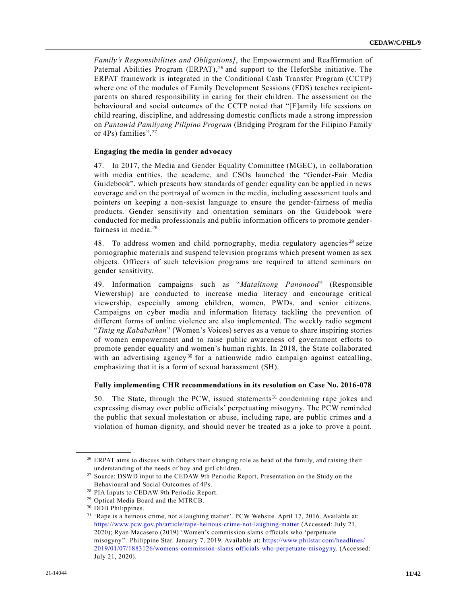*Family's Responsibilities and Obligations]*, the Empowerment and Reaffirmation of Paternal Abilities Program (ERPAT),<sup>26</sup> and support to the HeforShe initiative. The ERPAT framework is integrated in the Conditional Cash Transfer Program (CCTP) where one of the modules of Family Development Sessions (FDS) teaches recipientparents on shared responsibility in caring for their children. The assessment on the behavioural and social outcomes of the CCTP noted that "[F]amily life sessions on child rearing, discipline, and addressing domestic conflicts made a strong impression on *Pantawid Pamilyang Pilipino Program* (Bridging Program for the Filipino Family or 4Ps) families".<sup>27</sup>

#### **Engaging the media in gender advocacy**

47. In 2017, the Media and Gender Equality Committee (MGEC), in collaboration with media entities, the academe, and CSOs launched the "Gender-Fair Media Guidebook", which presents how standards of gender equality can be applied in news coverage and on the portrayal of women in the media, including assessment tools and pointers on keeping a non-sexist language to ensure the gender-fairness of media products. Gender sensitivity and orientation seminars on the Guidebook were conducted for media professionals and public information officers to promote genderfairness in media.<sup>28</sup>

48. To address women and child pornography, media regulatory agencies<sup>29</sup> seize pornographic materials and suspend television programs which present women as sex objects. Officers of such television programs are required to attend seminars on gender sensitivity.

49. Information campaigns such as "*Matalinong Panonood*" (Responsible Viewership) are conducted to increase media literacy and encourage critical viewership, especially among children, women, PWDs, and senior citizens. Campaigns on cyber media and information literacy tackling the prevention of different forms of online violence are also implemented. The weekly radio segment "*Tinig ng Kababaihan*" (Women's Voices) serves as a venue to share inspiring stories of women empowerment and to raise public awareness of government efforts to promote gender equality and women's human rights. In 2018, the State collaborated with an advertising agency<sup>30</sup> for a nationwide radio campaign against catcalling, emphasizing that it is a form of sexual harassment (SH).

#### **Fully implementing CHR recommendations in its resolution on Case No. 2016-078**

50. The State, through the PCW, issued statements<sup>31</sup> condemning rape jokes and expressing dismay over public officials' perpetuating misogyny. The PCW reminded the public that sexual molestation or abuse, including rape, are public crimes and a violation of human dignity, and should never be treated as a joke to prove a point.

<sup>&</sup>lt;sup>26</sup> ERPAT aims to discuss with fathers their changing role as head of the family, and raising their understanding of the needs of boy and girl children.

<sup>27</sup> Source: DSWD input to the CEDAW 9th Periodic Report, Presentation on the Study on the Behavioural and Social Outcomes of 4Ps.

<sup>28</sup> PIA Inputs to CEDAW 9th Periodic Report.

<sup>29</sup> Optical Media Board and the MTRCB.

<sup>30</sup> DDB Philippines.

<sup>31</sup> 'Rape is a heinous crime, not a laughing matter'. PCW Website. April 17, 2016. Available at: <https://www.pcw.gov.ph/article/rape-heinous-crime-not-laughing-matter> (Accessed: July 21, 2020); Ryan Macasero (2019) 'Women's commission slams officials who 'perpetuate misogyny''. Philippine Star. January 7, 2019. Available at: [https://www.philstar.com/headlines/](https://www.philstar.com/headlines/2019/01/07/1883126/womens-commission-slams-officials-who-perpetuate-misogyny) [2019/01/07/1883126/womens-commission-slams-officials-who-perpetuate-misogyny.](https://www.philstar.com/headlines/2019/01/07/1883126/womens-commission-slams-officials-who-perpetuate-misogyny) (Accessed: July 21, 2020).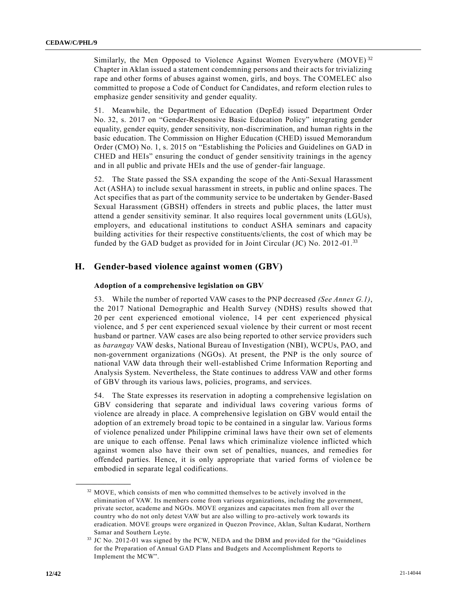Similarly, the Men Opposed to Violence Against Women Everywhere  $(MOVE)^{32}$ Chapter in Aklan issued a statement condemning persons and their acts for trivializing rape and other forms of abuses against women, girls, and boys. The COMELEC also committed to propose a Code of Conduct for Candidates, and reform election rules to emphasize gender sensitivity and gender equality.

51. Meanwhile, the Department of Education (DepEd) issued Department Order No. 32, s. 2017 on "Gender-Responsive Basic Education Policy" integrating gender equality, gender equity, gender sensitivity, non-discrimination, and human rights in the basic education. The Commission on Higher Education (CHED) issued Memorandum Order (CMO) No. 1, s. 2015 on "Establishing the Policies and Guidelines on GAD in CHED and HEIs" ensuring the conduct of gender sensitivity trainings in the agency and in all public and private HEIs and the use of gender-fair language.

52. The State passed the SSA expanding the scope of the Anti-Sexual Harassment Act (ASHA) to include sexual harassment in streets, in public and online spaces. The Act specifies that as part of the community service to be undertaken by Gender-Based Sexual Harassment (GBSH) offenders in streets and public places, the latter must attend a gender sensitivity seminar. It also requires local government units (LGUs), employers, and educational institutions to conduct ASHA seminars and capacity building activities for their respective constituents/clients, the cost of which may be funded by the GAD budget as provided for in Joint Circular (JC) No.  $2012$ -01.<sup>33</sup>

### **H. Gender-based violence against women (GBV)**

#### **Adoption of a comprehensive legislation on GBV**

53. While the number of reported VAW cases to the PNP decreased *(See Annex G.1)*, the 2017 National Demographic and Health Survey (NDHS) results showed that 20 per cent experienced emotional violence, 14 per cent experienced physical violence, and 5 per cent experienced sexual violence by their current or most recent husband or partner. VAW cases are also being reported to other service providers such as *barangay* VAW desks, National Bureau of Investigation (NBI), WCPUs, PAO, and non-government organizations (NGOs). At present, the PNP is the only source of national VAW data through their well-established Crime Information Reporting and Analysis System. Nevertheless, the State continues to address VAW and other forms of GBV through its various laws, policies, programs, and services.

54. The State expresses its reservation in adopting a comprehensive legislation on GBV considering that separate and individual laws covering various forms of violence are already in place. A comprehensive legislation on GBV would entail the adoption of an extremely broad topic to be contained in a singular law. Various forms of violence penalized under Philippine criminal laws have their own set of elements are unique to each offense. Penal laws which criminalize violence inflicted which against women also have their own set of penalties, nuances, and remedies for offended parties. Hence, it is only appropriate that varied forms of violen ce be embodied in separate legal codifications.

<sup>32</sup> MOVE, which consists of men who committed themselves to be actively involved in the elimination of VAW. Its members come from various organizations, including the government, private sector, academe and NGOs. MOVE organizes and capacitates men from all over the country who do not only detest VAW but are also willing to pro-actively work towards its eradication. MOVE groups were organized in Quezon Province, Aklan, Sultan Kudarat, Northern Samar and Southern Leyte.

<sup>33</sup> JC No. 2012-01 was signed by the PCW, NEDA and the DBM and provided for the "Guidelines for the Preparation of Annual GAD Plans and Budgets and Accomplishment Reports to Implement the MCW".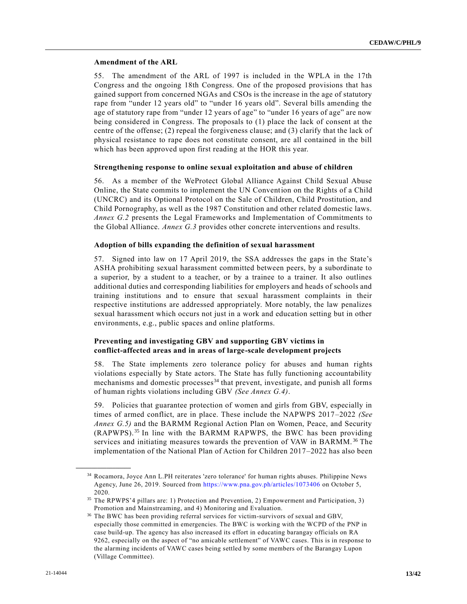#### **Amendment of the ARL**

55. The amendment of the ARL of 1997 is included in the WPLA in the 17th Congress and the ongoing 18th Congress. One of the proposed provisions that has gained support from concerned NGAs and CSOs is the increase in the age of statutory rape from "under 12 years old" to "under 16 years old". Several bills amending the age of statutory rape from "under 12 years of age" to "under 16 years of age" are now being considered in Congress. The proposals to (1) place the lack of consent at the centre of the offense; (2) repeal the forgiveness clause; and (3) clarify that the lack of physical resistance to rape does not constitute consent, are all contained in the bill which has been approved upon first reading at the HOR this year.

#### **Strengthening response to online sexual exploitation and abuse of children**

56. As a member of the WeProtect Global Alliance Against Child Sexual Abuse Online, the State commits to implement the UN Convention on the Rights of a Child (UNCRC) and its Optional Protocol on the Sale of Children, Child Prostitution, and Child Pornography, as well as the 1987 Constitution and other related domestic laws. *Annex G.2* presents the Legal Frameworks and Implementation of Commitments to the Global Alliance. *Annex G.3* provides other concrete interventions and results.

#### **Adoption of bills expanding the definition of sexual harassment**

57. Signed into law on 17 April 2019, the SSA addresses the gaps in the State's ASHA prohibiting sexual harassment committed between peers, by a subordinate to a superior, by a student to a teacher, or by a trainee to a trainer. It also outlines additional duties and corresponding liabilities for employers and heads of schools and training institutions and to ensure that sexual harassment complaints in their respective institutions are addressed appropriately. More notably, the law penalizes sexual harassment which occurs not just in a work and education setting but in other environments, e.g., public spaces and online platforms.

#### **Preventing and investigating GBV and supporting GBV victims in conflict-affected areas and in areas of large-scale development projects**

58. The State implements zero tolerance policy for abuses and human rights violations especially by State actors. The State has fully functioning accountability mechanisms and domestic processes<sup>34</sup> that prevent, investigate, and punish all forms of human rights violations including GBV *(See Annex G.4)*.

59. Policies that guarantee protection of women and girls from GBV, especially in times of armed conflict, are in place. These include the NAPWPS 2017–2022 *(See Annex G.5)* and the BARMM Regional Action Plan on Women, Peace, and Security (RAPWPS).<sup>35</sup> In line with the BARMM RAPWPS, the BWC has been providing services and initiating measures towards the prevention of VAW in BARMM. <sup>36</sup> The implementation of the National Plan of Action for Children 2017–2022 has also been

<sup>34</sup> Rocamora, Joyce Ann L.PH reiterates 'zero tolerance' for human rights abuses. Philippine News Agency, June 26, 2019. Sourced from<https://www.pna.gov.ph/articles/1073406> on October 5, 2020.

<sup>35</sup> The RPWPS'4 pillars are: 1) Protection and Prevention, 2) Empowerment and Participation, 3) Promotion and Mainstreaming, and 4) Monitoring and Evaluation.

<sup>&</sup>lt;sup>36</sup> The BWC has been providing referral services for victim-survivors of sexual and GBV, especially those committed in emergencies. The BWC is working with the WCPD of the PNP in case build-up. The agency has also increased its effort in educating barangay officials on RA 9262, especially on the aspect of "no amicable settlement" of VAWC cases. This is in response to the alarming incidents of VAWC cases being settled by some members of the Barangay Lupon (Village Committee).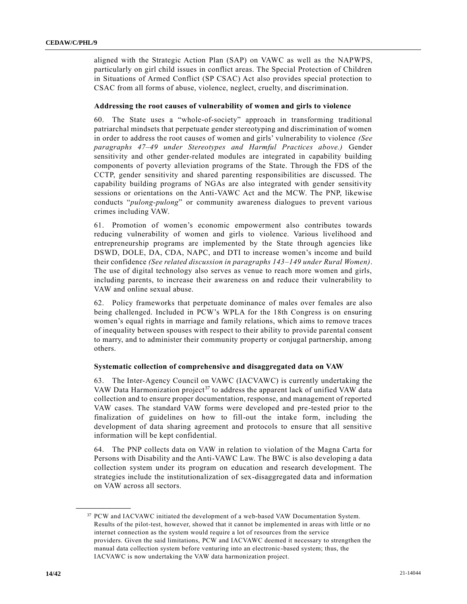aligned with the Strategic Action Plan (SAP) on VAWC as well as the NAPWPS, particularly on girl child issues in conflict areas. The Special Protection of Children in Situations of Armed Conflict (SP CSAC) Act also provides special protection to CSAC from all forms of abuse, violence, neglect, cruelty, and discrimination.

#### **Addressing the root causes of vulnerability of women and girls to violence**

60. The State uses a "whole-of-society" approach in transforming traditional patriarchal mindsets that perpetuate gender stereotyping and discrimination of women in order to address the root causes of women and girls' vulnerability to violence *(See paragraphs 47–49 under Stereotypes and Harmful Practices above.)* Gender sensitivity and other gender-related modules are integrated in capability building components of poverty alleviation programs of the State. Through the FDS of the CCTP, gender sensitivity and shared parenting responsibilities are discussed. The capability building programs of NGAs are also integrated with gender sensitivity sessions or orientations on the Anti-VAWC Act and the MCW. The PNP, likewise conducts "*pulong-pulong*" or community awareness dialogues to prevent various crimes including VAW.

61. Promotion of women's economic empowerment also contributes towards reducing vulnerability of women and girls to violence. Various livelihood and entrepreneurship programs are implemented by the State through agencies like DSWD, DOLE, DA, CDA, NAPC, and DTI to increase women's income and build their confidence *(See related discussion in paragraphs 143–149 under Rural Women)*. The use of digital technology also serves as venue to reach more women and girls, including parents, to increase their awareness on and reduce their vulnerability to VAW and online sexual abuse.

62. Policy frameworks that perpetuate dominance of males over females are also being challenged. Included in PCW's WPLA for the 18th Congress is on ensuring women's equal rights in marriage and family relations, which aims to remove traces of inequality between spouses with respect to their ability to provide parental consent to marry, and to administer their community property or conjugal partnership, among others.

#### **Systematic collection of comprehensive and disaggregated data on VAW**

63. The Inter-Agency Council on VAWC (IACVAWC) is currently undertaking the VAW Data Harmonization project<sup>37</sup> to address the apparent lack of unified VAW data collection and to ensure proper documentation, response, and management of reported VAW cases. The standard VAW forms were developed and pre-tested prior to the finalization of guidelines on how to fill-out the intake form, including the development of data sharing agreement and protocols to ensure that all sensitive information will be kept confidential.

64. The PNP collects data on VAW in relation to violation of the Magna Carta for Persons with Disability and the Anti-VAWC Law. The BWC is also developing a data collection system under its program on education and research development. The strategies include the institutionalization of sex-disaggregated data and information on VAW across all sectors.

<sup>&</sup>lt;sup>37</sup> PCW and IACVAWC initiated the development of a web-based VAW Documentation System. Results of the pilot-test, however, showed that it cannot be implemented in areas with little or no internet connection as the system would require a lot of resources from the service providers. Given the said limitations, PCW and IACVAWC deemed it necessary to strengthen the manual data collection system before venturing into an electronic-based system; thus, the IACVAWC is now undertaking the VAW data harmonization project.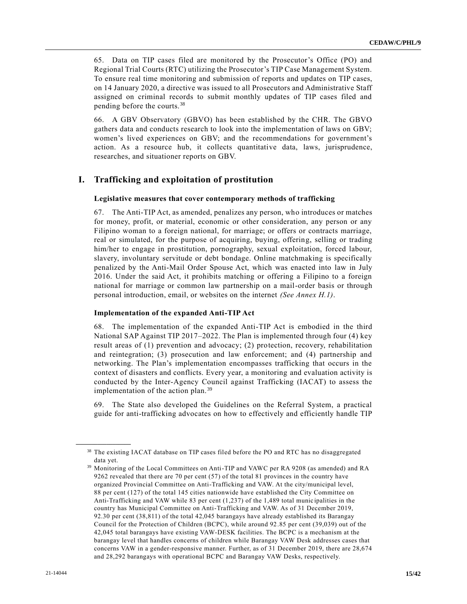65. Data on TIP cases filed are monitored by the Prosecutor's Office (PO) and Regional Trial Courts (RTC) utilizing the Prosecutor's TIP Case Management System. To ensure real time monitoring and submission of reports and updates on TIP cases, on 14 January 2020, a directive was issued to all Prosecutors and Administrative Staff assigned on criminal records to submit monthly updates of TIP cases filed and pending before the courts.<sup>38</sup>

66. A GBV Observatory (GBVO) has been established by the CHR. The GBVO gathers data and conducts research to look into the implementation of laws on GBV; women's lived experiences on GBV; and the recommendations for government's action. As a resource hub, it collects quantitative data, laws, jurisprudence, researches, and situationer reports on GBV.

### **I. Trafficking and exploitation of prostitution**

#### **Legislative measures that cover contemporary methods of trafficking**

67. The Anti-TIP Act, as amended, penalizes any person, who introduces or matches for money, profit, or material, economic or other consideration, any person or any Filipino woman to a foreign national, for marriage; or offers or contracts marriage, real or simulated, for the purpose of acquiring, buying, offering, selling or trading him/her to engage in prostitution, pornography, sexual exploitation, forced labour, slavery, involuntary servitude or debt bondage. Online matchmaking is specifically penalized by the Anti-Mail Order Spouse Act, which was enacted into law in July 2016. Under the said Act, it prohibits matching or offering a Filipino to a foreign national for marriage or common law partnership on a mail-order basis or through personal introduction, email, or websites on the internet *(See Annex H.1)*.

#### **Implementation of the expanded Anti-TIP Act**

68. The implementation of the expanded Anti-TIP Act is embodied in the third National SAP Against TIP 2017–2022. The Plan is implemented through four (4) key result areas of (1) prevention and advocacy; (2) protection, recovery, rehabilitation and reintegration; (3) prosecution and law enforcement; and (4) partnership and networking. The Plan's implementation encompasses trafficking that occurs in the context of disasters and conflicts. Every year, a monitoring and evaluation activity is conducted by the Inter-Agency Council against Trafficking (IACAT) to assess the implementation of the action plan.<sup>39</sup>

69. The State also developed the Guidelines on the Referral System, a practical guide for anti-trafficking advocates on how to effectively and efficiently handle TIP

<sup>38</sup> The existing IACAT database on TIP cases filed before the PO and RTC has no disaggregated data yet.

<sup>39</sup> Monitoring of the Local Committees on Anti-TIP and VAWC per RA 9208 (as amended) and RA 9262 revealed that there are 70 per cent (57) of the total 81 provinces in the country have organized Provincial Committee on Anti-Trafficking and VAW. At the city/municipal level, 88 per cent (127) of the total 145 cities nationwide have established the City Committee on Anti-Trafficking and VAW while 83 per cent (1,237) of the 1,489 total munic ipalities in the country has Municipal Committee on Anti-Trafficking and VAW. As of 31 December 2019, 92.30 per cent (38,811) of the total 42,045 barangays have already established its Barangay Council for the Protection of Children (BCPC), while around 92.85 per cent (39,039) out of the 42,045 total barangays have existing VAW-DESK facilities. The BCPC is a mechanism at the barangay level that handles concerns of children while Barangay VAW Desk addresses cases that concerns VAW in a gender-responsive manner. Further, as of 31 December 2019, there are 28,674 and 28,292 barangays with operational BCPC and Barangay VAW Desks, respectively.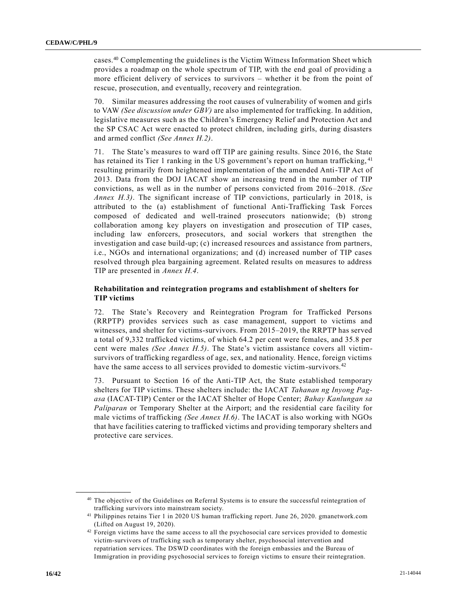cases.<sup>40</sup> Complementing the guidelines is the Victim Witness Information Sheet which provides a roadmap on the whole spectrum of TIP, with the end goal of providing a more efficient delivery of services to survivors – whether it be from the point of rescue, prosecution, and eventually, recovery and reintegration.

70. Similar measures addressing the root causes of vulnerability of women and girls to VAW *(See discussion under GBV)* are also implemented for trafficking. In addition, legislative measures such as the Children's Emergency Relief and Protection Act and the SP CSAC Act were enacted to protect children, including girls, during disasters and armed conflict *(See Annex H.2)*.

71. The State's measures to ward off TIP are gaining results. Since 2016, the State has retained its Tier 1 ranking in the US government's report on human trafficking, <sup>41</sup> resulting primarily from heightened implementation of the amended Anti-TIP Act of 2013. Data from the DOJ IACAT show an increasing trend in the number of TIP convictions, as well as in the number of persons convicted from 2016–2018. *(See Annex H.3)*. The significant increase of TIP convictions, particularly in 2018, is attributed to the (a) establishment of functional Anti-Trafficking Task Forces composed of dedicated and well-trained prosecutors nationwide; (b) strong collaboration among key players on investigation and prosecution of TIP cases, including law enforcers, prosecutors, and social workers that strengthen the investigation and case build-up; (c) increased resources and assistance from partners, i.e., NGOs and international organizations; and (d) increased number of TIP cases resolved through plea bargaining agreement. Related results on measures to address TIP are presented in *Annex H.4*.

#### **Rehabilitation and reintegration programs and establishment of shelters for TIP victims**

72. The State's Recovery and Reintegration Program for Trafficked Persons (RRPTP) provides services such as case management, support to victims and witnesses, and shelter for victims-survivors. From 2015–2019, the RRPTP has served a total of 9,332 trafficked victims, of which 64.2 per cent were females, and 35.8 per cent were males *(See Annex H.5)*. The State's victim assistance covers all victimsurvivors of trafficking regardless of age, sex, and nationality. Hence, foreign victims have the same access to all services provided to domestic victim-survivors.<sup>42</sup>

73. Pursuant to Section 16 of the Anti-TIP Act, the State established temporary shelters for TIP victims. These shelters include: the IACAT *Tahanan ng Inyong Pagasa* (IACAT-TIP) Center or the IACAT Shelter of Hope Center; *Bahay Kanlungan sa Paliparan* or Temporary Shelter at the Airport; and the residential care facility for male victims of trafficking *(See Annex H.6)*. The IACAT is also working with NGOs that have facilities catering to trafficked victims and providing temporary shelters and protective care services.

<sup>&</sup>lt;sup>40</sup> The objective of the Guidelines on Referral Systems is to ensure the successful reintegration of trafficking survivors into mainstream society.

<sup>41</sup> Philippines retains Tier 1 in 2020 US human trafficking report. June 26, 2020. gmanetwork.com (Lifted on August 19, 2020).

<sup>&</sup>lt;sup>42</sup> Foreign victims have the same access to all the psychosocial care services provided to domestic victim-survivors of trafficking such as temporary shelter, psychosocial intervention and repatriation services. The DSWD coordinates with the foreign embassies and the Bureau of Immigration in providing psychosocial services to foreign victims to ensure their reintegration.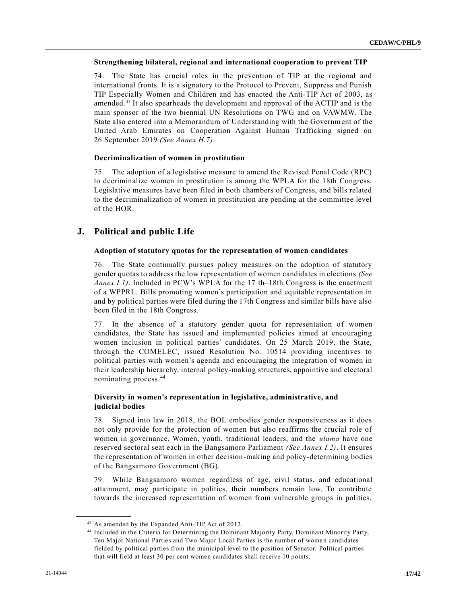#### **Strengthening bilateral, regional and international cooperation to prevent TIP**

74. The State has crucial roles in the prevention of TIP at the regional and international fronts. It is a signatory to the Protocol to Prevent, Suppress and Punish TIP Especially Women and Children and has enacted the Anti-TIP Act of 2003, as amended.<sup>43</sup> It also spearheads the development and approval of the ACTIP and is the main sponsor of the two biennial UN Resolutions on TWG and on VAWMW. The State also entered into a Memorandum of Understanding with the Government of the United Arab Emirates on Cooperation Against Human Trafficking signed on 26 September 2019 *(See Annex H.7)*.

#### **Decriminalization of women in prostitution**

75. The adoption of a legislative measure to amend the Revised Penal Code (RPC) to decriminalize women in prostitution is among the WPLA for the 18th Congress. Legislative measures have been filed in both chambers of Congress, and bills related to the decriminalization of women in prostitution are pending at the committee level of the HOR.

### **J. Political and public Life**

#### **Adoption of statutory quotas for the representation of women candidates**

76. The State continually pursues policy measures on the adoption of statutory gender quotas to address the low representation of women candidates in elections *(See Annex I.1)*. Included in PCW's WPLA for the 17 th–18th Congress is the enactment of a WPPRL. Bills promoting women's participation and equitable representation in and by political parties were filed during the 17th Congress and similar bills have also been filed in the 18th Congress.

77. In the absence of a statutory gender quota for representation of women candidates, the State has issued and implemented policies aimed at encouraging women inclusion in political parties' candidates. On 25 March 2019, the State, through the COMELEC, issued Resolution No. 10514 providing incentives to political parties with women's agenda and encouraging the integration of women in their leadership hierarchy, internal policy-making structures, appointive and electoral nominating process.<sup>44</sup>

#### **Diversity in women's representation in legislative, administrative, and judicial bodies**

78. Signed into law in 2018, the BOL embodies gender responsiveness as it does not only provide for the protection of women but also reaffirms the crucial role of women in governance. Women, youth, traditional leaders, and the *ulama* have one reserved sectoral seat each in the Bangsamoro Parliament *(See Annex I.2)*. It ensures the representation of women in other decision-making and policy-determining bodies of the Bangsamoro Government (BG).

79. While Bangsamoro women regardless of age, civil status, and educational attainment, may participate in politics, their numbers remain low. To contribute towards the increased representation of women from vulnerable groups in politics,

<sup>43</sup> As amended by the Expanded Anti-TIP Act of 2012.

<sup>44</sup> Included in the Criteria for Determining the Dominant Majority Party, Dominant Minority Party, Ten Major National Parties and Two Major Local Parties is the number of women candidates fielded by political parties from the municipal level to the position of Senator. Political parties that will field at least 30 per cent women candidates shall receive 10 points.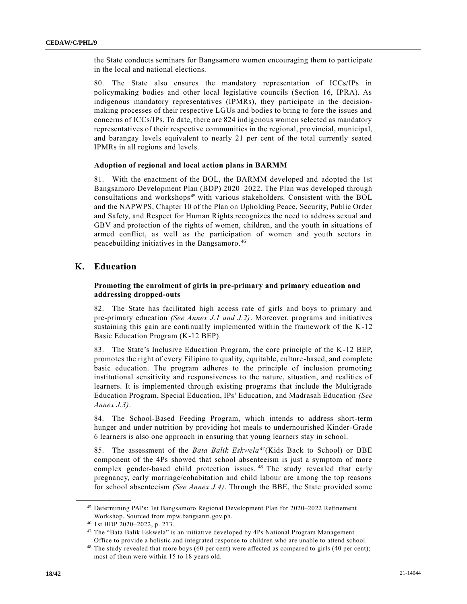the State conducts seminars for Bangsamoro women encouraging them to participate in the local and national elections.

80. The State also ensures the mandatory representation of ICCs/IPs in policymaking bodies and other local legislative councils (Section 16, IPRA). As indigenous mandatory representatives (IPMRs), they participate in the decisionmaking processes of their respective LGUs and bodies to bring to fore the issues and concerns of ICCs/IPs. To date, there are 824 indigenous women selected as mandatory representatives of their respective communities in the regional, provincial, municipal, and barangay levels equivalent to nearly 21 per cent of the total currently seated IPMRs in all regions and levels.

#### **Adoption of regional and local action plans in BARMM**

81. With the enactment of the BOL, the BARMM developed and adopted the 1st Bangsamoro Development Plan (BDP) 2020–2022. The Plan was developed through consultations and workshops<sup>45</sup> with various stakeholders. Consistent with the BOL and the NAPWPS, Chapter 10 of the Plan on Upholding Peace, Security, Public Order and Safety, and Respect for Human Rights recognizes the need to address sexual and GBV and protection of the rights of women, children, and the youth in situations of armed conflict, as well as the participation of women and youth sectors in peacebuilding initiatives in the Bangsamoro.<sup>46</sup>

### **K. Education**

#### **Promoting the enrolment of girls in pre-primary and primary education and addressing dropped-outs**

82. The State has facilitated high access rate of girls and boys to primary and pre-primary education *(See Annex J.1 and J.2)*. Moreover, programs and initiatives sustaining this gain are continually implemented within the framework of the K-12 Basic Education Program (K-12 BEP).

83. The State's Inclusive Education Program, the core principle of the K-12 BEP, promotes the right of every Filipino to quality, equitable, culture-based, and complete basic education. The program adheres to the principle of inclusion promoting institutional sensitivity and responsiveness to the nature, situation, and realities of learners. It is implemented through existing programs that include the Multigrade Education Program, Special Education, IPs' Education, and Madrasah Education *(See Annex J.3)*.

84. The School-Based Feeding Program, which intends to address short-term hunger and under nutrition by providing hot meals to undernourished Kinder-Grade 6 learners is also one approach in ensuring that young learners stay in school.

85. The assessment of the *Bata Balik Eskwela<sup>47</sup>* (Kids Back to School) or BBE component of the 4Ps showed that school absenteeism is just a symptom of more complex gender-based child protection issues.<sup>48</sup> The study revealed that early pregnancy, early marriage/cohabitation and child labour are among the top reasons for school absenteeism *(See Annex J.4)*. Through the BBE, the State provided some

<sup>45</sup> Determining PAPs: 1st Bangsamoro Regional Development Plan for 2020–2022 Refinement Workshop. Sourced from mpw.bangsanri.gov.ph.

<sup>46</sup> 1st BDP 2020–2022, p. 273.

<sup>47</sup> The "Bata Balik Eskwela" is an initiative developed by 4Ps National Program Management Office to provide a holistic and integrated response to children who are unable to attend school.

<sup>&</sup>lt;sup>48</sup> The study revealed that more boys (60 per cent) were affected as compared to girls (40 per cent); most of them were within 15 to 18 years old.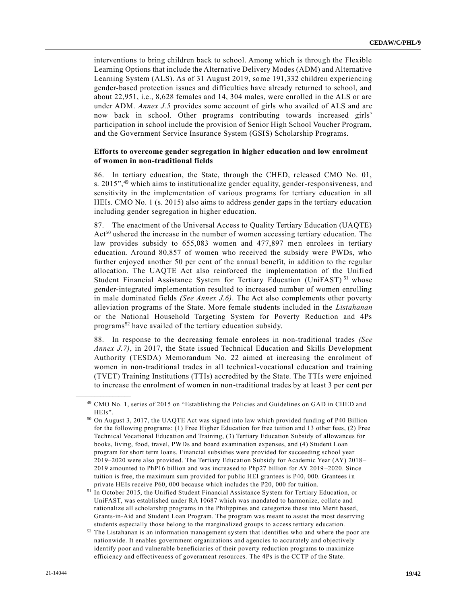interventions to bring children back to school. Among which is through the Flexible Learning Options that include the Alternative Delivery Modes (ADM) and Alternative Learning System (ALS). As of 31 August 2019, some 191,332 children experiencing gender-based protection issues and difficulties have already returned to school, and about 22,951, i.e., 8,628 females and 14, 304 males, were enrolled in the ALS or are under ADM. *Annex J.5* provides some account of girls who availed of ALS and are now back in school. Other programs contributing towards increased girls' participation in school include the provision of Senior High School Voucher Program, and the Government Service Insurance System (GSIS) Scholarship Programs.

#### **Efforts to overcome gender segregation in higher education and low enrolment of women in non-traditional fields**

86. In tertiary education, the State, through the CHED, released CMO No. 01, s. 2015",<sup>49</sup> which aims to institutionalize gender equality, gender-responsiveness, and sensitivity in the implementation of various programs for tertiary education in all HEIs. CMO No. 1 (s. 2015) also aims to address gender gaps in the tertiary education including gender segregation in higher education.

87. The enactment of the Universal Access to Quality Tertiary Education (UAQTE) Act<sup>50</sup> ushered the increase in the number of women accessing tertiary education. The law provides subsidy to 655,083 women and 477,897 men enrolees in tertiary education. Around 80,857 of women who received the subsidy were PWDs, who further enjoyed another 50 per cent of the annual benefit, in addition to the regular allocation. The UAQTE Act also reinforced the implementation of the Unified Student Financial Assistance System for Tertiary Education (UniFAST)<sup>51</sup> whose gender-integrated implementation resulted to increased number of women enrolling in male dominated fields *(See Annex J.6)*. The Act also complements other poverty alleviation programs of the State. More female students included in the *Listahanan* or the National Household Targeting System for Poverty Reduction and 4Ps programs<sup>52</sup> have availed of the tertiary education subsidy.

88. In response to the decreasing female enrolees in non-traditional trades *(See Annex J.7)*, in 2017, the State issued Technical Education and Skills Development Authority (TESDA) Memorandum No. 22 aimed at increasing the enrolment of women in non-traditional trades in all technical-vocational education and training (TVET) Training Institutions (TTIs) accredited by the State. The TTIs were enjoined to increase the enrolment of women in non-traditional trades by at least 3 per cent per

<sup>49</sup> CMO No. 1, series of 2015 on "Establishing the Policies and Guidelines on GAD in CHED and HEIs".

<sup>50</sup> On August 3, 2017, the UAQTE Act was signed into law which provided funding of P40 Billion for the following programs: (1) Free Higher Education for free tuition and 13 other fees, (2) Free Technical Vocational Education and Training, (3) Tertiary Education Subsidy of allowances for books, living, food, travel, PWDs and board examination expenses, and (4) Student Loan program for short term loans. Financial subsidies were provided for succeeding school year 2019–2020 were also provided. The Tertiary Education Subsidy for Academic Year (AY) 2018 – 2019 amounted to PhP16 billion and was increased to Php27 billion for AY 2019–2020. Since tuition is free, the maximum sum provided for public HEI grantees is P40, 000. Grantees in private HEIs receive P60, 000 because which includes the P20, 000 for tuition.

<sup>&</sup>lt;sup>51</sup> In October 2015, the Unified Student Financial Assistance System for Tertiary Education, or UniFAST, was established under RA 10687 which was mandated to harmonize, collate and rationalize all scholarship programs in the Philippines and categorize these into Merit based, Grants-in-Aid and Student Loan Program. The program was meant to assist the most deserving students especially those belong to the marginalized groups to access tertiary education.

<sup>52</sup> The Listahanan is an information management system that identifies who and where the poor are nationwide. It enables government organizations and agencies to accurately and objectively identify poor and vulnerable beneficiaries of their poverty reduction programs to maximize efficiency and effectiveness of government resources. The 4Ps is the CCTP of the State.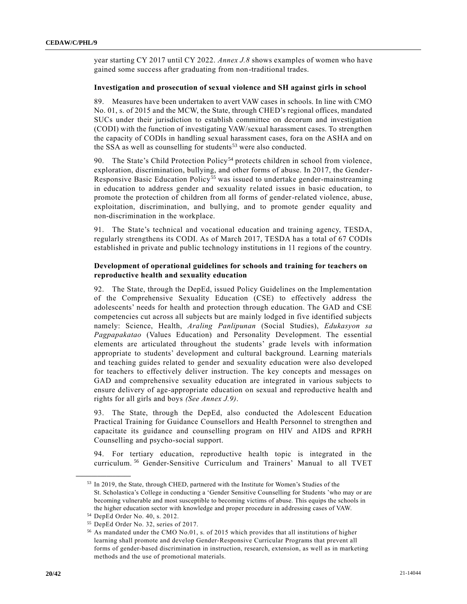year starting CY 2017 until CY 2022. *Annex J.8* shows examples of women who have gained some success after graduating from non-traditional trades.

#### **Investigation and prosecution of sexual violence and SH against girls in school**

89. Measures have been undertaken to avert VAW cases in schools. In line with CMO No. 01, s. of 2015 and the MCW, the State, through CHED's regional offices, mandated SUCs under their jurisdiction to establish committee on decorum and investigation (CODI) with the function of investigating VAW/sexual harassment cases. To strengthen the capacity of CODIs in handling sexual harassment cases, fora on the ASHA and on the SSA as well as counselling for students<sup>53</sup> were also conducted.

90. The State's Child Protection Policy<sup>54</sup> protects children in school from violence, exploration, discrimination, bullying, and other forms of abuse. In 2017, the Gender-Responsive Basic Education Policy<sup>55</sup> was issued to undertake gender-mainstreaming in education to address gender and sexuality related issues in basic education, to promote the protection of children from all forms of gender-related violence, abuse, exploitation, discrimination, and bullying, and to promote gender equality and non-discrimination in the workplace.

91. The State's technical and vocational education and training agency, TESDA, regularly strengthens its CODI. As of March 2017, TESDA has a total of 67 CODIs established in private and public technology institutions in 11 regions of the country.

#### **Development of operational guidelines for schools and training for teachers on reproductive health and sexuality education**

92. The State, through the DepEd, issued Policy Guidelines on the Implementation of the Comprehensive Sexuality Education (CSE) to effectively address the adolescents' needs for health and protection through education. The GAD and CSE competencies cut across all subjects but are mainly lodged in five identified subjects namely: Science, Health, *Araling Panlipunan* (Social Studies), *Edukasyon sa Pagpapakatao* (Values Education) and Personality Development. The essential elements are articulated throughout the students' grade levels with information appropriate to students' development and cultural background. Learning materials and teaching guides related to gender and sexuality education were also developed for teachers to effectively deliver instruction. The key concepts and messages on GAD and comprehensive sexuality education are integrated in various subjects to ensure delivery of age-appropriate education on sexual and reproductive health and rights for all girls and boys *(See Annex J.9)*.

93. The State, through the DepEd, also conducted the Adolescent Education Practical Training for Guidance Counsellors and Health Personnel to strengthen and capacitate its guidance and counselling program on HIV and AIDS and RPRH Counselling and psycho-social support.

94. For tertiary education, reproductive health topic is integrated in the curriculum. <sup>56</sup> Gender-Sensitive Curriculum and Trainers' Manual to all TVET

<sup>53</sup> In 2019, the State, through CHED, partnered with the Institute for Women's Studies of the St. Scholastica's College in conducting a 'Gender Sensitive Counselling for Students 'who may or are becoming vulnerable and most susceptible to becoming victims of abuse. This equips the schools in the higher education sector with knowledge and proper procedure in addressing cases of VAW.

<sup>54</sup> DepEd Order No. 40, s. 2012.

<sup>55</sup> DepEd Order No. 32, series of 2017.

<sup>56</sup> As mandated under the CMO No.01, s. of 2015 which provides that all institutions of higher learning shall promote and develop Gender-Responsive Curricular Programs that prevent all forms of gender-based discrimination in instruction, research, extension, as well as in marketing methods and the use of promotional materials.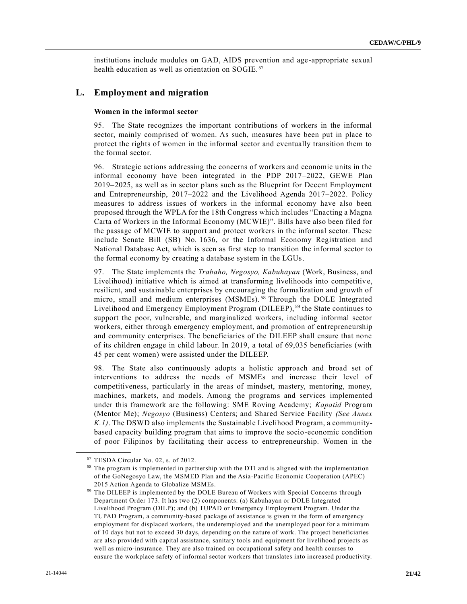institutions include modules on GAD, AIDS prevention and age-appropriate sexual health education as well as orientation on SOGIE.<sup>57</sup>

### **L. Employment and migration**

#### **Women in the informal sector**

95. The State recognizes the important contributions of workers in the informal sector, mainly comprised of women. As such, measures have been put in place to protect the rights of women in the informal sector and eventually transition them to the formal sector.

96. Strategic actions addressing the concerns of workers and economic units in the informal economy have been integrated in the PDP 2017–2022, GEWE Plan 2019 – 2025, as well as in sector plans such as the Blueprint for Decent Employment and Entrepreneurship, 2017–2022 and the Livelihood Agenda 2017–2022. Policy measures to address issues of workers in the informal economy have also been proposed through the WPLA for the 18th Congress which includes "Enacting a Magna Carta of Workers in the Informal Economy (MCWIE)". Bills have also been filed for the passage of MCWIE to support and protect workers in the informal sector. These include Senate Bill (SB) No. 1636, or the Informal Economy Registration and National Database Act, which is seen as first step to transition the informal sector to the formal economy by creating a database system in the LGUs.

97. The State implements the *Trabaho, Negosyo, Kabuhayan* (Work, Business, and Livelihood) initiative which is aimed at transforming livelihoods into competitiv e, resilient, and sustainable enterprises by encouraging the formalization and growth of micro, small and medium enterprises (MSMEs).<sup>58</sup> Through the DOLE Integrated Livelihood and Emergency Employment Program (DILEEP), <sup>59</sup> the State continues to support the poor, vulnerable, and marginalized workers, including informal sector workers, either through emergency employment, and promotion of entrepreneurship and community enterprises. The beneficiaries of the DILEEP shall ensure that none of its children engage in child labour. In 2019, a total of 69,035 beneficiaries (with 45 per cent women) were assisted under the DILEEP.

98. The State also continuously adopts a holistic approach and broad set of interventions to address the needs of MSMEs and increase their level of competitiveness, particularly in the areas of mindset, mastery, mentoring, money, machines, markets, and models. Among the programs and services implemented under this framework are the following: SME Roving Academy; *Kapatid* Program (Mentor Me); *Negosyo* (Business) Centers; and Shared Service Facility *(See Annex K.1)*. The DSWD also implements the Sustainable Livelihood Program, a communitybased capacity building program that aims to improve the socio-economic condition of poor Filipinos by facilitating their access to entrepreneurship. Women in the

<sup>57</sup> TESDA Circular No. 02, s. of 2012.

<sup>58</sup> The program is implemented in partnership with the DTI and is aligned with the implementation of the GoNegosyo Law, the MSMED Plan and the Asia-Pacific Economic Cooperation (APEC) 2015 Action Agenda to Globalize MSMEs.

<sup>59</sup> The DILEEP is implemented by the DOLE Bureau of Workers with Special Concerns through Department Order 173. It has two (2) components: (a) Kabuhayan or DOLE Integrated Livelihood Program (DILP); and (b) TUPAD or Emergency Employment Program. Under the TUPAD Program, a community-based package of assistance is given in the form of emergency employment for displaced workers, the underemployed and the unemployed poor for a minimum of 10 days but not to exceed 30 days, depending on the nature of work. The project beneficiaries are also provided with capital assistance, sanitary tools and equipment for livelihood projects as well as micro-insurance. They are also trained on occupational safety and health courses to ensure the workplace safety of informal sector workers that translates into increased productivity.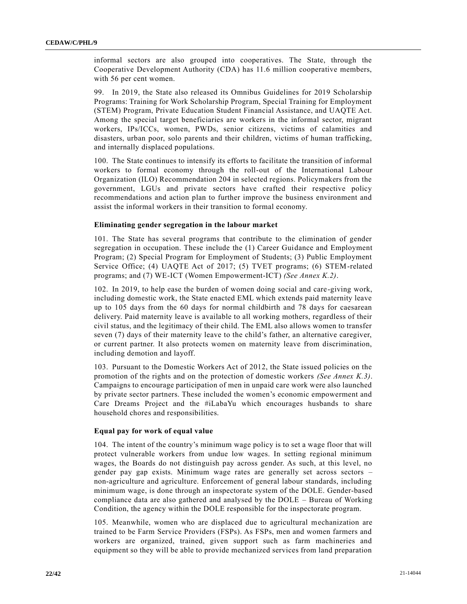informal sectors are also grouped into cooperatives. The State, through the Cooperative Development Authority (CDA) has 11.6 million cooperative members, with 56 per cent women.

99. In 2019, the State also released its Omnibus Guidelines for 2019 Scholarship Programs: Training for Work Scholarship Program, Special Training for Employment (STEM) Program, Private Education Student Financial Assistance, and UAQTE Act. Among the special target beneficiaries are workers in the informal sector, migrant workers, IPs/ICCs, women, PWDs, senior citizens, victims of calamities and disasters, urban poor, solo parents and their children, victims of human trafficking, and internally displaced populations.

100. The State continues to intensify its efforts to facilitate the transition of informal workers to formal economy through the roll-out of the International Labour Organization (ILO) Recommendation 204 in selected regions. Policymakers from the government, LGUs and private sectors have crafted their respective policy recommendations and action plan to further improve the business environment and assist the informal workers in their transition to formal economy.

#### **Eliminating gender segregation in the labour market**

101. The State has several programs that contribute to the elimination of gender segregation in occupation. These include the (1) Career Guidance and Employment Program; (2) Special Program for Employment of Students; (3) Public Employment Service Office; (4) UAQTE Act of 2017; (5) TVET programs; (6) STEM-related programs; and (7) WE-ICT (Women Empowerment-ICT) *(See Annex K.2)*.

102. In 2019, to help ease the burden of women doing social and care-giving work, including domestic work, the State enacted EML which extends paid maternity leave up to 105 days from the 60 days for normal childbirth and 78 days for caesarean delivery. Paid maternity leave is available to all working mothers, regardless of their civil status, and the legitimacy of their child. The EML also allows women to transfer seven (7) days of their maternity leave to the child's father, an alternative caregiver, or current partner. It also protects women on maternity leave from discrimination, including demotion and layoff.

103. Pursuant to the Domestic Workers Act of 2012, the State issued policies on the promotion of the rights and on the protection of domestic workers *(See Annex K.3)*. Campaigns to encourage participation of men in unpaid care work were also launched by private sector partners. These included the women's economic empowerment and Care Dreams Project and the #iLabaYu which encourages husbands to share household chores and responsibilities.

#### **Equal pay for work of equal value**

104. The intent of the country's minimum wage policy is to set a wage floor that will protect vulnerable workers from undue low wages. In setting regional minimum wages, the Boards do not distinguish pay across gender. As such, at this level, no gender pay gap exists. Minimum wage rates are generally set across sectors – non-agriculture and agriculture. Enforcement of general labour standards, including minimum wage, is done through an inspectorate system of the DOLE. Gender-based compliance data are also gathered and analysed by the DOLE – Bureau of Working Condition, the agency within the DOLE responsible for the inspectorate program.

105. Meanwhile, women who are displaced due to agricultural mechanization are trained to be Farm Service Providers (FSPs). As FSPs, men and women farmers and workers are organized, trained, given support such as farm machineries and equipment so they will be able to provide mechanized services from land preparation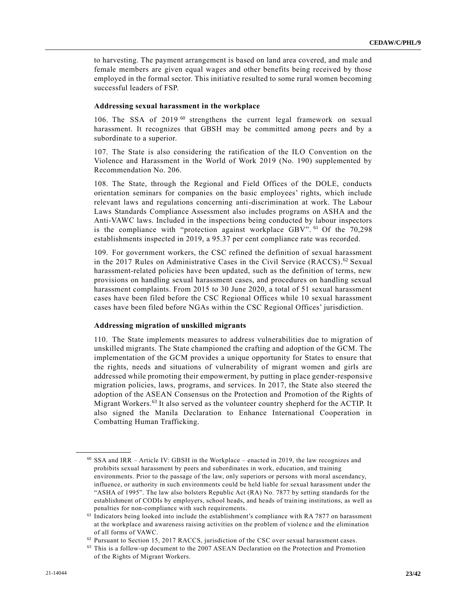to harvesting. The payment arrangement is based on land area covered, and male and female members are given equal wages and other benefits being received by those employed in the formal sector. This initiative resulted to some rural women becoming successful leaders of FSP.

#### **Addressing sexual harassment in the workplace**

106. The SSA of 2019<sup>60</sup> strengthens the current legal framework on sexual harassment. It recognizes that GBSH may be committed among peers and by a subordinate to a superior.

107. The State is also considering the ratification of the ILO Convention on the Violence and Harassment in the World of Work 2019 (No. 190) supplemented by Recommendation No. 206.

108. The State, through the Regional and Field Offices of the DOLE, conducts orientation seminars for companies on the basic employees' rights, which include relevant laws and regulations concerning anti-discrimination at work. The Labour Laws Standards Compliance Assessment also includes programs on ASHA and the Anti-VAWC laws. Included in the inspections being conducted by labour inspectors is the compliance with "protection against workplace GBV". <sup>61</sup> Of the 70,298 establishments inspected in 2019, a 95.37 per cent compliance rate was recorded.

109. For government workers, the CSC refined the definition of sexual harassment in the 2017 Rules on Administrative Cases in the Civil Service (RACCS). <sup>62</sup> Sexual harassment-related policies have been updated, such as the definition of terms, new provisions on handling sexual harassment cases, and procedures on handling sexual harassment complaints. From 2015 to 30 June 2020, a total of 51 sexual harassment cases have been filed before the CSC Regional Offices while 10 sexual harassment cases have been filed before NGAs within the CSC Regional Offices' jurisdiction.

#### **Addressing migration of unskilled migrants**

110. The State implements measures to address vulnerabilities due to migration of unskilled migrants. The State championed the crafting and adoption of the GCM. The implementation of the GCM provides a unique opportunity for States to ensure that the rights, needs and situations of vulnerability of migrant women and girls are addressed while promoting their empowerment, by putting in place gender-responsive migration policies, laws, programs, and services. In 2017, the State also steered the adoption of the ASEAN Consensus on the Protection and Promotion of the Rights of Migrant Workers.<sup>63</sup> It also served as the volunteer country shepherd for the ACTIP. It also signed the Manila Declaration to Enhance International Cooperation in Combatting Human Trafficking.

<sup>60</sup> SSA and IRR – Article IV: GBSH in the Workplace – enacted in 2019, the law recognizes and prohibits sexual harassment by peers and subordinates in work, education, and training environments. Prior to the passage of the law, only superiors or persons with moral ascendancy, influence, or authority in such environments could be held liable for sexual harassment under the "ASHA of 1995". The law also bolsters Republic Act (RA) No. 7877 by setting standards for the establishment of CODIs by employers, school heads, and heads of training institutions, as well as penalties for non-compliance with such requirements.

<sup>61</sup> Indicators being looked into include the establishment's compliance with RA 7877 on harassment at the workplace and awareness raising activities on the problem of violenc e and the elimination of all forms of VAWC.

<sup>62</sup> Pursuant to Section 15, 2017 RACCS, jurisdiction of the CSC over sexual harassment cases.

<sup>&</sup>lt;sup>63</sup> This is a follow-up document to the 2007 ASEAN Declaration on the Protection and Promotion of the Rights of Migrant Workers.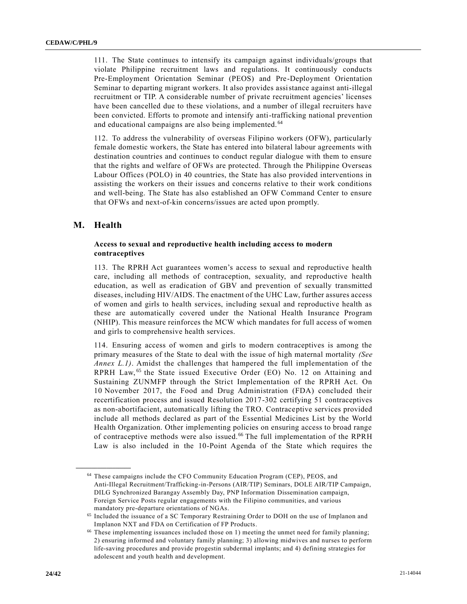111. The State continues to intensify its campaign against individuals/groups that violate Philippine recruitment laws and regulations. It continuously conducts Pre-Employment Orientation Seminar (PEOS) and Pre-Deployment Orientation Seminar to departing migrant workers. It also provides assistance against anti-illegal recruitment or TIP. A considerable number of private recruitment agencies' licenses have been cancelled due to these violations, and a number of illegal recruiters have been convicted. Efforts to promote and intensify anti-trafficking national prevention and educational campaigns are also being implemented. <sup>64</sup>

112. To address the vulnerability of overseas Filipino workers (OFW), particularly female domestic workers, the State has entered into bilateral labour agreements with destination countries and continues to conduct regular dialogue with them to ensure that the rights and welfare of OFWs are protected. Through the Philippine Overseas Labour Offices (POLO) in 40 countries, the State has also provided interventions in assisting the workers on their issues and concerns relative to their work conditions and well-being. The State has also established an OFW Command Center to ensure that OFWs and next-of-kin concerns/issues are acted upon promptly.

### **M. Health**

**\_\_\_\_\_\_\_\_\_\_\_\_\_\_\_\_\_\_**

#### **Access to sexual and reproductive health including access to modern contraceptives**

113. The RPRH Act guarantees women's access to sexual and reproductive health care, including all methods of contraception, sexuality, and reproductive health education, as well as eradication of GBV and prevention of sexually transmitted diseases, including HIV/AIDS. The enactment of the UHC Law, further assures access of women and girls to health services, including sexual and reproductive health as these are automatically covered under the National Health Insurance Program (NHIP). This measure reinforces the MCW which mandates for full access of women and girls to comprehensive health services.

114. Ensuring access of women and girls to modern contraceptives is among the primary measures of the State to deal with the issue of high maternal mortality *(See Annex L.1)*. Amidst the challenges that hampered the full implementation of the RPRH Law,<sup>65</sup> the State issued Executive Order (EO) No. 12 on Attaining and Sustaining ZUNMFP through the Strict Implementation of the RPRH Act. On 10 November 2017, the Food and Drug Administration (FDA) concluded their recertification process and issued Resolution 2017-302 certifying 51 contraceptives as non-abortifacient, automatically lifting the TRO. Contraceptive services provided include all methods declared as part of the Essential Medicines List by the World Health Organization. Other implementing policies on ensuring access to broad range of contraceptive methods were also issued. <sup>66</sup> The full implementation of the RPRH Law is also included in the 10-Point Agenda of the State which requires the

<sup>64</sup> These campaigns include the CFO Community Education Program (CEP), PEOS, and Anti-Illegal Recruitment/Trafficking-in-Persons (AIR/TIP) Seminars, DOLE AIR/TIP Campaign, DILG Synchronized Barangay Assembly Day, PNP Information Dissemination campaign, Foreign Service Posts regular engagements with the Filipino communities, and various mandatory pre-departure orientations of NGAs.

<sup>65</sup> Included the issuance of a SC Temporary Restraining Order to DOH on the use of Implanon and Implanon NXT and FDA on Certification of FP Products.

<sup>66</sup> These implementing issuances included those on 1) meeting the unmet need for family planning; 2) ensuring informed and voluntary family planning; 3) allowing midwives and nurses to perform life-saving procedures and provide progestin subdermal implants; and 4) defining strategies for adolescent and youth health and development.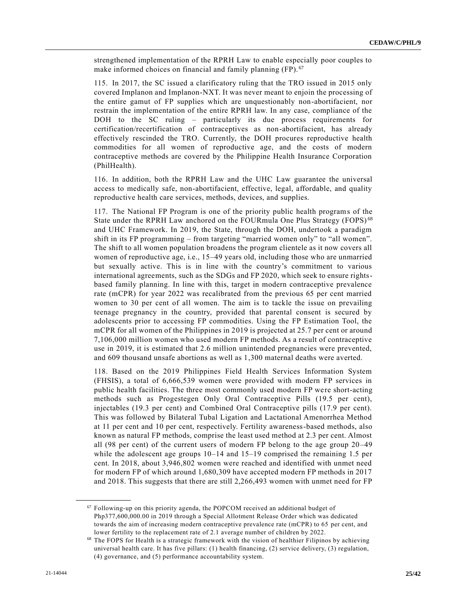strengthened implementation of the RPRH Law to enable especially poor couples to make informed choices on financial and family planning (FP).<sup>67</sup>

115. In 2017, the SC issued a clarificatory ruling that the TRO issued in 2015 only covered Implanon and Implanon-NXT. It was never meant to enjoin the processing of the entire gamut of FP supplies which are unquestionably non-abortifacient, nor restrain the implementation of the entire RPRH law. In any case, compliance of the DOH to the SC ruling – particularly its due process requirements for certification/recertification of contraceptives as non-abortifacient, has already effectively rescinded the TRO. Currently, the DOH procures reproductive health commodities for all women of reproductive age, and the costs of modern contraceptive methods are covered by the Philippine Health Insurance Corporation (PhilHealth).

116. In addition, both the RPRH Law and the UHC Law guarantee the universal access to medically safe, non-abortifacient, effective, legal, affordable, and quality reproductive health care services, methods, devices, and supplies.

117. The National FP Program is one of the priority public health programs of the State under the RPRH Law anchored on the FOURmula One Plus Strategy (FOPS) <sup>68</sup> and UHC Framework. In 2019, the State, through the DOH, undertook a paradigm shift in its FP programming – from targeting "married women only" to "all women". The shift to all women population broadens the program clientele as it now covers all women of reproductive age, i.e., 15–49 years old, including those who are unmarried but sexually active. This is in line with the country's commitment to various international agreements, such as the SDGs and FP 2020, which seek to ensure rightsbased family planning. In line with this, target in modern contraceptive prevalence rate (mCPR) for year 2022 was recalibrated from the previous 65 per cent married women to 30 per cent of all women. The aim is to tackle the issue on prevailing teenage pregnancy in the country, provided that parental consent is secured by adolescents prior to accessing FP commodities. Using the FP Estimation Tool, the mCPR for all women of the Philippines in 2019 is projected at 25.7 per cent or around 7,106,000 million women who used modern FP methods. As a result of contraceptive use in 2019, it is estimated that 2.6 million unintended pregnancies were prevented, and 609 thousand unsafe abortions as well as 1,300 maternal deaths were averted.

118. Based on the 2019 Philippines Field Health Services Information System (FHSIS), a total of 6,666,539 women were provided with modern FP services in public health facilities. The three most commonly used modern FP were short-acting methods such as Progestegen Only Oral Contraceptive Pills (19.5 per cent), injectables (19.3 per cent) and Combined Oral Contraceptive pills (17.9 per cent). This was followed by Bilateral Tubal Ligation and Lactational Amenorrhea Method at 11 per cent and 10 per cent, respectively. Fertility awareness-based methods, also known as natural FP methods, comprise the least used method at 2.3 per cent. Almost all (98 per cent) of the current users of modern FP belong to the age group 20–49 while the adolescent age groups 10–14 and 15–19 comprised the remaining 1.5 per cent. In 2018, about 3,946,802 women were reached and identified with unmet need for modern FP of which around 1,680,309 have accepted modern FP methods in 2017 and 2018. This suggests that there are still 2,266,493 women with unmet need for FP

<sup>67</sup> Following-up on this priority agenda, the POPCOM received an additional budget of Php377,600,000.00 in 2019 through a Special Allotment Release Order which was dedicated towards the aim of increasing modern contraceptive prevalence rate (mCPR) to 65 per cent, and lower fertility to the replacement rate of 2.1 average number of children by 2022.

<sup>68</sup> The FOPS for Health is a strategic framework with the vision of healthier Filipinos by achieving universal health care. It has five pillars: (1) health financing, (2) service delivery, (3) regulation, (4) governance, and (5) performance accountability system.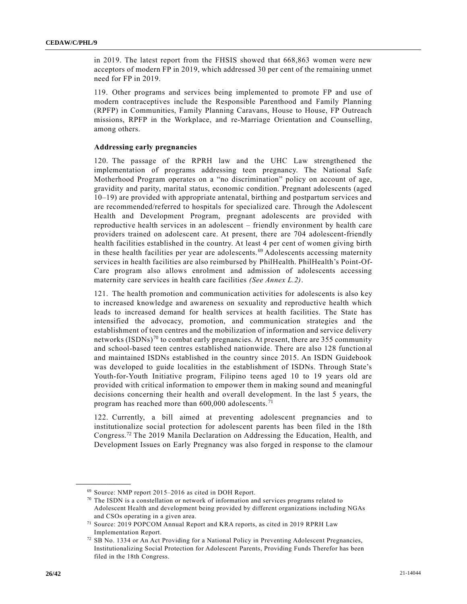in 2019. The latest report from the FHSIS showed that 668,863 women were new acceptors of modern FP in 2019, which addressed 30 per cent of the remaining unmet need for FP in 2019.

119. Other programs and services being implemented to promote FP and use of modern contraceptives include the Responsible Parenthood and Family Planning (RPFP) in Communities, Family Planning Caravans, House to House, FP Outreach missions, RPFP in the Workplace, and re-Marriage Orientation and Counselling, among others.

#### **Addressing early pregnancies**

120. The passage of the RPRH law and the UHC Law strengthened the implementation of programs addressing teen pregnancy. The National Safe Motherhood Program operates on a "no discrimination" policy on account of age, gravidity and parity, marital status, economic condition. Pregnant adolescents (aged 10–19) are provided with appropriate antenatal, birthing and postpartum services and are recommended/referred to hospitals for specialized care. Through the Adolescent Health and Development Program, pregnant adolescents are provided with reproductive health services in an adolescent – friendly environment by health care providers trained on adolescent care. At present, there are 704 adolescent-friendly health facilities established in the country. At least 4 per cent of women giving birth in these health facilities per year are adolescents. <sup>69</sup> Adolescents accessing maternity services in health facilities are also reimbursed by PhilHealth. PhilHealth's Point-Of-Care program also allows enrolment and admission of adolescents accessing maternity care services in health care facilities *(See Annex L.2)*.

121. The health promotion and communication activities for adolescents is also key to increased knowledge and awareness on sexuality and reproductive health which leads to increased demand for health services at health facilities. The State has intensified the advocacy, promotion, and communication strategies and the establishment of teen centres and the mobilization of information and service delivery networks  $(ISDNs)^{70}$  to combat early pregnancies. At present, there are 355 community and school-based teen centres established nationwide. There are also 128 function al and maintained ISDNs established in the country since 2015. An ISDN Guidebook was developed to guide localities in the establishment of ISDNs. Through State's Youth-for-Youth Initiative program, Filipino teens aged 10 to 19 years old are provided with critical information to empower them in making sound and meaningful decisions concerning their health and overall development. In the last 5 years, the program has reached more than 600,000 adolescents. <sup>71</sup>

122. Currently, a bill aimed at preventing adolescent pregnancies and to institutionalize social protection for adolescent parents has been filed in the 18th Congress.<sup>72</sup> The 2019 Manila Declaration on Addressing the Education, Health, and Development Issues on Early Pregnancy was also forged in response to the clamour

<sup>69</sup> Source: NMP report 2015–2016 as cited in DOH Report.

 $70$  The ISDN is a constellation or network of information and services programs related to Adolescent Health and development being provided by different organizations including NGAs and CSOs operating in a given area.

<sup>71</sup> Source: 2019 POPCOM Annual Report and KRA reports, as cited in 2019 RPRH Law Implementation Report.

<sup>72</sup> SB No. 1334 or An Act Providing for a National Policy in Preventing Adolescent Pregnancies, Institutionalizing Social Protection for Adolescent Parents, Providing Funds Therefor has been filed in the 18th Congress.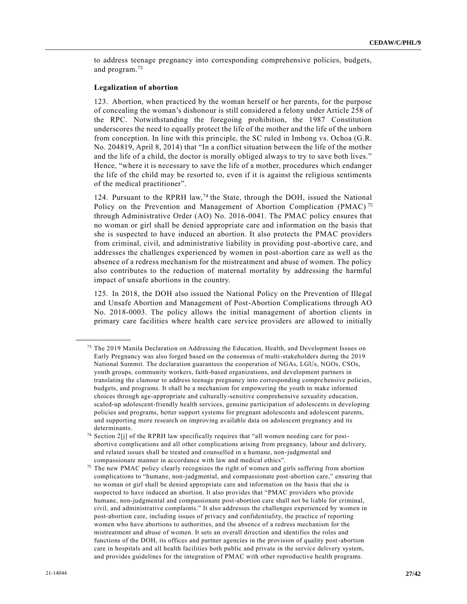to address teenage pregnancy into corresponding comprehensive policies, budgets, and program.<sup>73</sup>

#### **Legalization of abortion**

**\_\_\_\_\_\_\_\_\_\_\_\_\_\_\_\_\_\_**

123. Abortion, when practiced by the woman herself or her parents, for the purpose of concealing the woman's dishonour is still considered a felony under Article 258 of the RPC. Notwithstanding the foregoing prohibition, the 1987 Constitution underscores the need to equally protect the life of the mother and the life of the unborn from conception. In line with this principle, the SC ruled in Imbong vs. Ochoa (G.R. No. 204819, April 8, 2014) that "In a conflict situation between the life of the mother and the life of a child, the doctor is morally obliged always to try to save both lives." Hence, "where it is necessary to save the life of a mother, procedures which endanger the life of the child may be resorted to, even if it is against the religious sentiments of the medical practitioner".

124. Pursuant to the RPRH law,<sup>74</sup> the State, through the DOH, issued the National Policy on the Prevention and Management of Abortion Complication (PMAC)<sup>75</sup> through Administrative Order (AO) No. 2016-0041. The PMAC policy ensures that no woman or girl shall be denied appropriate care and information on the basis that she is suspected to have induced an abortion. It also protects the PMAC providers from criminal, civil, and administrative liability in providing post-abortive care, and addresses the challenges experienced by women in post-abortion care as well as the absence of a redress mechanism for the mistreatment and abuse of women. The policy also contributes to the reduction of maternal mortality by addressing the harmful impact of unsafe abortions in the country.

125. In 2018, the DOH also issued the National Policy on the Prevention of Illegal and Unsafe Abortion and Management of Post-Abortion Complications through AO No. 2018-0003. The policy allows the initial management of abortion clients in primary care facilities where health care service providers are allowed to initially

<sup>&</sup>lt;sup>73</sup> The 2019 Manila Declaration on Addressing the Education, Health, and Development Issues on Early Pregnancy was also forged based on the consensus of multi-stakeholders during the 2019 National Summit. The declaration guarantees the cooperation of NGAs, LGUs, NGOs, CSOs, youth groups, community workers, faith-based organizations, and development partners in translating the clamour to address teenage pregnancy into corresponding compre hensive policies, budgets, and programs. It shall be a mechanism for empowering the youth to make informed choices through age-appropriate and culturally-sensitive comprehensive sexuality education, scaled-up adolescent-friendly health services, genuine participation of adolescents in developing policies and programs, better support systems for pregnant adolescents and adolescent parents, and supporting more research on improving available data on adolescent pregnancy and its determinants.

<sup>74</sup> Section 2[j] of the RPRH law specifically requires that "all women needing care for postabortive complications and all other complications arising from pregnancy, labour and delivery, and related issues shall be treated and counselled in a humane, non-judgmental and compassionate manner in accordance with law and medical ethics".

<sup>&</sup>lt;sup>75</sup> The new PMAC policy clearly recognizes the right of women and girls suffering from abortion complications to "humane, non-judgmental, and compassionate post-abortion care," ensuring that no woman or girl shall be denied appropriate care and information on the basis that she is suspected to have induced an abortion. It also provides that "PMAC providers who provide humane, non-judgmental and compassionate post-abortion care shall not be liable for criminal, civil, and administrative complaints." It also addresses the challenges experienced by women in post-abortion care, including issues of privacy and confidentiality, the practice of reporting women who have abortions to authorities, and the absence of a redress mechanism for the mistreatment and abuse of women. It sets an overall direction and identifies the roles and functions of the DOH, its offices and partner agencies in the provision of quality post-abortion care in hospitals and all health facilities both public and private in the service delivery system, and provides guidelines for the integration of PMAC with other reproductive health programs.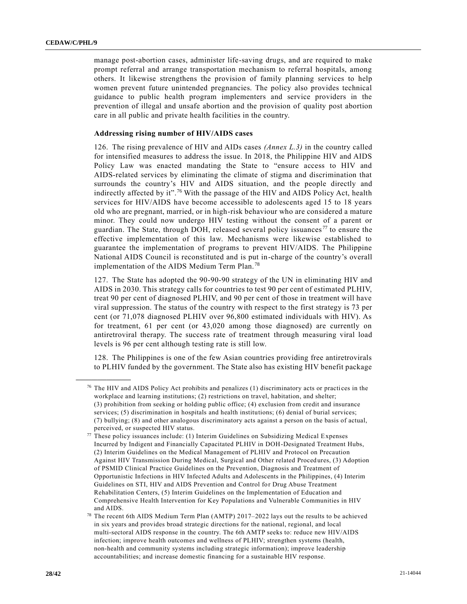manage post-abortion cases, administer life-saving drugs, and are required to make prompt referral and arrange transportation mechanism to referral hospitals, among others. It likewise strengthens the provision of family planning services to help women prevent future unintended pregnancies. The policy also provides technical guidance to public health program implementers and service providers in the prevention of illegal and unsafe abortion and the provision of quality post abortion care in all public and private health facilities in the country.

#### **Addressing rising number of HIV/AIDS cases**

126. The rising prevalence of HIV and AIDs cases *(Annex L.3)* in the country called for intensified measures to address the issue. In 2018, the Philippine HIV and AIDS Policy Law was enacted mandating the State to "ensure access to HIV and AIDS-related services by eliminating the climate of stigma and discrimination that surrounds the country's HIV and AIDS situation, and the people directly and indirectly affected by it".<sup>76</sup> With the passage of the HIV and AIDS Policy Act, health services for HIV/AIDS have become accessible to adolescents aged 15 to 18 years old who are pregnant, married, or in high-risk behaviour who are considered a mature minor. They could now undergo HIV testing without the consent of a parent or guardian. The State, through DOH, released several policy issuances<sup>77</sup> to ensure the effective implementation of this law. Mechanisms were likewise established to guarantee the implementation of programs to prevent HIV/AIDS. The Philippine National AIDS Council is reconstituted and is put in-charge of the country's overall implementation of the AIDS Medium Term Plan. <sup>78</sup>

127. The State has adopted the 90-90-90 strategy of the UN in eliminating HIV and AIDS in 2030. This strategy calls for countries to test 90 per cent of estimated PLHIV, treat 90 per cent of diagnosed PLHIV, and 90 per cent of those in treatment will have viral suppression. The status of the country with respect to the first strategy is 73 per cent (or 71,078 diagnosed PLHIV over 96,800 estimated individuals with HIV). As for treatment, 61 per cent (or 43,020 among those diagnosed) are currently on antiretroviral therapy. The success rate of treatment through measuring viral load levels is 96 per cent although testing rate is still low.

128. The Philippines is one of the few Asian countries providing free antiretrovirals to PLHIV funded by the government. The State also has existing HIV benefit package

 $76$  The HIV and AIDS Policy Act prohibits and penalizes (1) discriminatory acts or practices in the workplace and learning institutions; (2) restrictions on travel, habitation, and shelter; (3) prohibition from seeking or holding public office; (4) exclusion from credit and insurance services; (5) discrimination in hospitals and health institutions; (6) denial of burial services; (7) bullying; (8) and other analogous discriminatory acts against a person on the basis of actual, perceived, or suspected HIV status.

 $77$  These policy issuances include: (1) Interim Guidelines on Subsidizing Medical Expenses Incurred by Indigent and Financially Capacitated PLHIV in DOH-Designated Treatment Hubs, (2) Interim Guidelines on the Medical Management of PLHIV and Protocol on Precaution Against HIV Transmission During Medical, Surgical and Other related Procedures, (3) Adoption of PSMID Clinical Practice Guidelines on the Prevention, Diagnosis and Treatment of Opportunistic Infections in HIV Infected Adults and Adolescents in the Philippines, (4) Interim Guidelines on STI, HIV and AIDS Prevention and Control for Drug Abuse Treatment Rehabilitation Centers, (5) Interim Guidelines on the Implementation of Education and Comprehensive Health Intervention for Key Populations and Vulnerable Communities in HIV and AIDS.

<sup>78</sup> The recent 6th AIDS Medium Term Plan (AMTP) 2017–2022 lays out the results to be achieved in six years and provides broad strategic directions for the national, regional, and local multi-sectoral AIDS response in the country. The 6th AMTP seeks to: reduce new HIV/AIDS infection; improve health outcomes and wellness of PLHIV; strengthen systems (health, non-health and community systems including strategic information); improve leadership accountabilities; and increase domestic financing for a sustainable HIV response.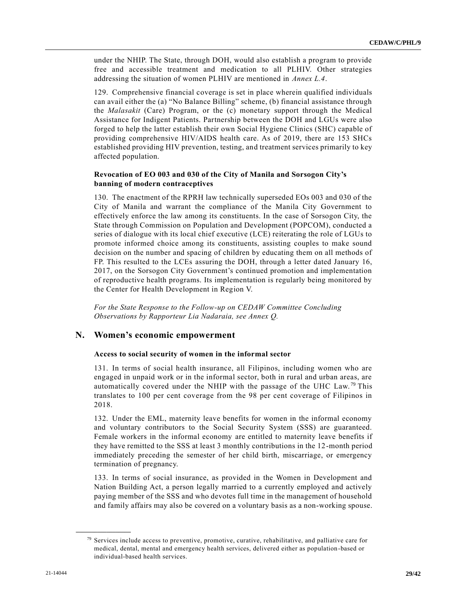under the NHIP. The State, through DOH, would also establish a program to provide free and accessible treatment and medication to all PLHIV. Other strategies addressing the situation of women PLHIV are mentioned in *Annex L.4*.

129. Comprehensive financial coverage is set in place wherein qualified individuals can avail either the (a) "No Balance Billing" scheme, (b) financial assistance through the *Malasakit* (Care) Program, or the (c) monetary support through the Medical Assistance for Indigent Patients. Partnership between the DOH and LGUs were also forged to help the latter establish their own Social Hygiene Clinics (SHC) capable of providing comprehensive HIV/AIDS health care. As of 2019, there are 153 SHCs established providing HIV prevention, testing, and treatment services primarily to key affected population.

#### **Revocation of EO 003 and 030 of the City of Manila and Sorsogon City's banning of modern contraceptives**

130. The enactment of the RPRH law technically superseded EOs 003 and 030 of the City of Manila and warrant the compliance of the Manila City Government to effectively enforce the law among its constituents. In the case of Sorsogon City, the State through Commission on Population and Development (POPCOM), conducted a series of dialogue with its local chief executive (LCE) reiterating the role of LGUs to promote informed choice among its constituents, assisting couples to make sound decision on the number and spacing of children by educating them on all methods of FP. This resulted to the LCEs assuring the DOH, through a letter dated January 16, 2017, on the Sorsogon City Government's continued promotion and implementation of reproductive health programs. Its implementation is regularly being monitored by the Center for Health Development in Region V.

*For the State Response to the Follow-up on CEDAW Committee Concluding Observations by Rapporteur Lia Nadaraia, see Annex Q.*

#### **N. Women's economic empowerment**

#### **Access to social security of women in the informal sector**

131. In terms of social health insurance, all Filipinos, including women who are engaged in unpaid work or in the informal sector, both in rural and urban areas, are automatically covered under the NHIP with the passage of the UHC Law.<sup>79</sup> This translates to 100 per cent coverage from the 98 per cent coverage of Filipinos in 2018.

132. Under the EML, maternity leave benefits for women in the informal economy and voluntary contributors to the Social Security System (SSS) are guaranteed. Female workers in the informal economy are entitled to maternity leave benefits if they have remitted to the SSS at least 3 monthly contributions in the 12-month period immediately preceding the semester of her child birth, miscarriage, or emergency termination of pregnancy.

133. In terms of social insurance, as provided in the Women in Development and Nation Building Act, a person legally married to a currently employed and actively paying member of the SSS and who devotes full time in the management of household and family affairs may also be covered on a voluntary basis as a non-working spouse.

<sup>79</sup> Services include access to preventive, promotive, curative, rehabilitative, and palliative care for medical, dental, mental and emergency health services, delivered either as population-based or individual-based health services.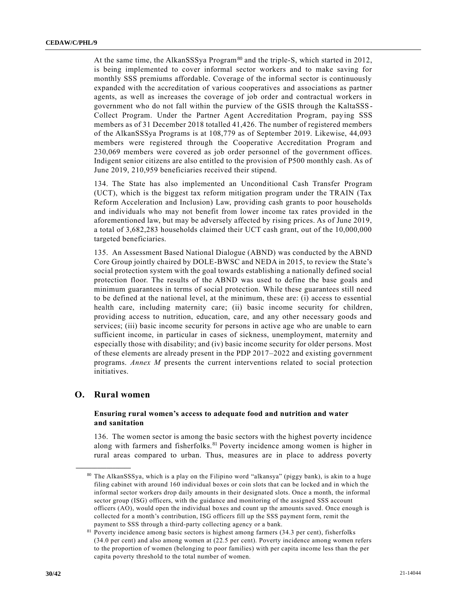At the same time, the AlkanSSSya Program<sup>80</sup> and the triple-S, which started in 2012, is being implemented to cover informal sector workers and to make saving for monthly SSS premiums affordable. Coverage of the informal sector is continuously expanded with the accreditation of various cooperatives and associations as partner agents, as well as increases the coverage of job order and contractual workers in government who do not fall within the purview of the GSIS through the KaltaSSS - Collect Program. Under the Partner Agent Accreditation Program, paying SSS members as of 31 December 2018 totalled 41,426. The number of registered members of the AlkanSSSya Programs is at 108,779 as of September 2019. Likewise, 44,093 members were registered through the Cooperative Accreditation Program and 230,069 members were covered as job order personnel of the government offices. Indigent senior citizens are also entitled to the provision of P500 monthly cash. As of June 2019, 210,959 beneficiaries received their stipend.

134. The State has also implemented an Unconditional Cash Transfer Program (UCT), which is the biggest tax reform mitigation program under the TRAIN (Tax Reform Acceleration and Inclusion) Law, providing cash grants to poor households and individuals who may not benefit from lower income tax rates provided in the aforementioned law, but may be adversely affected by rising prices. As of June 2019, a total of 3,682,283 households claimed their UCT cash grant, out of the 10,000,000 targeted beneficiaries.

135. An Assessment Based National Dialogue (ABND) was conducted by the ABND Core Group jointly chaired by DOLE-BWSC and NEDA in 2015, to review the State's social protection system with the goal towards establishing a nationally defined social protection floor. The results of the ABND was used to define the base goals and minimum guarantees in terms of social protection. While these guarantees still need to be defined at the national level, at the minimum, these are: (i) access to essential health care, including maternity care; (ii) basic income security for children, providing access to nutrition, education, care, and any other necessary goods and services; (iii) basic income security for persons in active age who are unable to earn sufficient income, in particular in cases of sickness, unemployment, maternity and especially those with disability; and (iv) basic income security for older persons. Most of these elements are already present in the PDP 2017–2022 and existing government programs. *Annex M* presents the current interventions related to social protection initiatives.

#### **O. Rural women**

**\_\_\_\_\_\_\_\_\_\_\_\_\_\_\_\_\_\_**

#### **Ensuring rural women's access to adequate food and nutrition and water and sanitation**

136. The women sector is among the basic sectors with the highest poverty incidence along with farmers and fisherfolks.<sup>81</sup> Poverty incidence among women is higher in rural areas compared to urban. Thus, measures are in place to address poverty

<sup>80</sup> The AlkanSSSya, which is a play on the Filipino word "alkansya" (piggy bank), is akin to a huge filing cabinet with around 160 individual boxes or coin slots that can be locked and in which the informal sector workers drop daily amounts in their designated slots. Once a month, the informal sector group (ISG) officers, with the guidance and monitoring of the assigned SSS account officers (AO), would open the individual boxes and count up the amounts saved. Once enough is collected for a month's contribution, ISG officers fill up the SSS payment form, remit the payment to SSS through a third-party collecting agency or a bank.

<sup>81</sup> Poverty incidence among basic sectors is highest among farmers (34.3 per cent), fisherfolks (34.0 per cent) and also among women at (22.5 per cent). Poverty incidence among women refers to the proportion of women (belonging to poor families) with per capita income less than the per capita poverty threshold to the total number of women.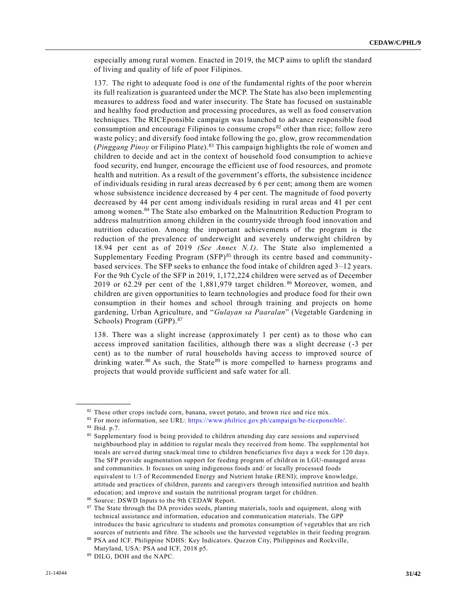especially among rural women. Enacted in 2019, the MCP aims to uplift the standard of living and quality of life of poor Filipinos.

137. The right to adequate food is one of the fundamental rights of the poor wherein its full realization is guaranteed under the MCP. The State has also been implementing measures to address food and water insecurity. The State has focused on sustainable and healthy food production and processing procedures, as well as food conservation techniques. The RICEponsible campaign was launched to advance responsible food consumption and encourage Filipinos to consume crops <sup>82</sup> other than rice; follow zero waste policy; and diversify food intake following the go, glow, grow recommendation (*Pinggang Pinoy* or Filipino Plate).<sup>83</sup> This campaign highlights the role of women and children to decide and act in the context of household food consumption to achieve food security, end hunger, encourage the efficient use of food resources, and promote health and nutrition. As a result of the government's efforts, the subsistence incidence of individuals residing in rural areas decreased by 6 per cent; among them are women whose subsistence incidence decreased by 4 per cent. The magnitude of food poverty decreased by 44 per cent among individuals residing in rural areas and 41 per cent among women.<sup>84</sup> The State also embarked on the Malnutrition Reduction Program to address malnutrition among children in the countryside through food innovation and nutrition education. Among the important achievements of the program is the reduction of the prevalence of underweight and severely underweight children by 18.94 per cent as of 2019 *(See Annex N.1)*. The State also implemented a Supplementary Feeding Program (SFP)<sup>85</sup> through its centre based and communitybased services. The SFP seeks to enhance the food intake of children aged 3–12 years. For the 9th Cycle of the SFP in 2019, 1,172,224 children were served as of December 2019 or 62.29 per cent of the 1,881,979 target children.<sup>86</sup> Moreover, women, and children are given opportunities to learn technologies and produce food for their own consumption in their homes and school through training and projects on home gardening, Urban Agriculture, and "*Gulayan sa Paaralan*" (Vegetable Gardening in Schools) Program (GPP).<sup>87</sup>

138. There was a slight increase (approximately 1 per cent) as to those who can access improved sanitation facilities, although there was a slight decrease (-3 per cent) as to the number of rural households having access to improved source of drinking water.<sup>88</sup> As such, the State<sup>89</sup> is more compelled to harness programs and projects that would provide sufficient and safe water for all.

<sup>&</sup>lt;sup>82</sup> These other crops include corn, banana, sweet potato, and brown rice and rice mix.

<sup>83</sup> For more information, see URL: [https://www.philrice.gov.ph/campaign/be-riceponsible/.](https://www.philrice.gov.ph/campaign/be-riceponsible/) <sup>84</sup> Ibid. p.7.

<sup>85</sup> Supplementary food is being provided to children attending day care sessions and supervised neighbourhood play in addition to regular meals they received from home. The supplemental hot meals are served during snack/meal time to children beneficiaries five days a week for 120 days. The SFP provide augmentation support for feeding program of children in LGU-managed areas and communities. It focuses on using indigenous foods and/ or locally processed foods equivalent to 1/3 of Recommended Energy and Nutrient Intake (RENI); improve knowledge, attitude and practices of children, parents and caregivers through intensified nutrition and health education; and improve and sustain the nutritional program target for children.

<sup>86</sup> Source: DSWD Inputs to the 9th CEDAW Report.

<sup>87</sup> The State through the DA provides seeds, planting materials, tools and equipment, along with technical assistance and information, education and communication materials. The GPP introduces the basic agriculture to students and promotes consumption of vegetables that are rich sources of nutrients and fibre. The schools use the harvested vegetables in their feeding program.

<sup>88</sup> PSA and ICF. Philippine NDHS: Key Indicators. Quezon City, Philippines and Rockville, Maryland, USA: PSA and ICF, 2018 p5.

<sup>89</sup> DILG, DOH and the NAPC.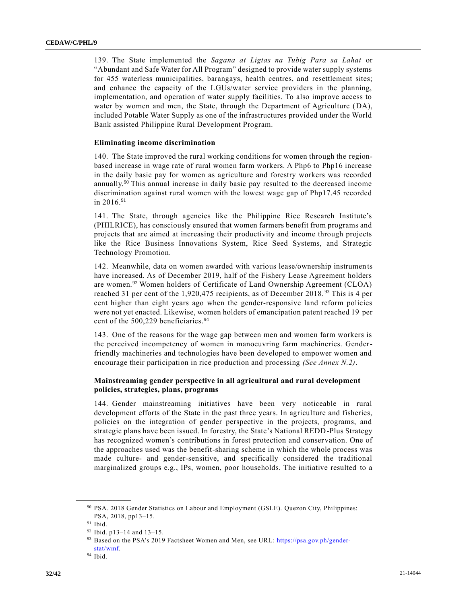139. The State implemented the *Sagana at Ligtas na Tubig Para sa Lahat* or "Abundant and Safe Water for All Program" designed to provide water supply systems for 455 waterless municipalities, barangays, health centres, and resettlement sites; and enhance the capacity of the LGUs/water service providers in the planning, implementation, and operation of water supply facilities. To also improve access to water by women and men, the State, through the Department of Agriculture (DA), included Potable Water Supply as one of the infrastructures provided under the World Bank assisted Philippine Rural Development Program.

#### **Eliminating income discrimination**

140. The State improved the rural working conditions for women through the regionbased increase in wage rate of rural women farm workers. A Php6 to Php16 increase in the daily basic pay for women as agriculture and forestry workers was recorded annually.<sup>90</sup> This annual increase in daily basic pay resulted to the decreased income discrimination against rural women with the lowest wage gap of Php17.45 recorded in 2016.<sup>91</sup>

141. The State, through agencies like the Philippine Rice Research Institute's (PHILRICE), has consciously ensured that women farmers benefit from programs and projects that are aimed at increasing their productivity and income through projects like the Rice Business Innovations System, Rice Seed Systems, and Strategic Technology Promotion.

142. Meanwhile, data on women awarded with various lease/ownership instrumen ts have increased. As of December 2019, half of the Fishery Lease Agreement holders are women.<sup>92</sup> Women holders of Certificate of Land Ownership Agreement (CLOA) reached 31 per cent of the 1,920,475 recipients, as of December 2018.<sup>93</sup> This is 4 per cent higher than eight years ago when the gender-responsive land reform policies were not yet enacted. Likewise, women holders of emancipation patent reached 19 per cent of the 500,229 beneficiaries.<sup>94</sup>

143. One of the reasons for the wage gap between men and women farm workers is the perceived incompetency of women in manoeuvring farm machineries. Genderfriendly machineries and technologies have been developed to empower women and encourage their participation in rice production and processing *(See Annex N.2)*.

#### **Mainstreaming gender perspective in all agricultural and rural development policies, strategies, plans, programs**

144. Gender mainstreaming initiatives have been very noticeable in rural development efforts of the State in the past three years. In agriculture and fisheries, policies on the integration of gender perspective in the projects, programs, and strategic plans have been issued. In forestry, the State's National REDD-Plus Strategy has recognized women's contributions in forest protection and conservation. One of the approaches used was the benefit-sharing scheme in which the whole process was made culture- and gender-sensitive, and specifically considered the traditional marginalized groups e.g., IPs, women, poor households. The initiative resulted to a

<sup>90</sup> PSA. 2018 Gender Statistics on Labour and Employment (GSLE). Quezon City, Philippines: PSA, 2018, pp13–15.

 $^{91}$  Ibid.

<sup>92</sup> Ibid. p13–14 and 13–15.

<sup>93</sup> Based on the PSA's 2019 Factsheet Women and Men, see URL: [https://psa.gov.ph/gender](https://psa.gov.ph/gender-stat/wmf)[stat/wmf.](https://psa.gov.ph/gender-stat/wmf)

<sup>94</sup> Ibid.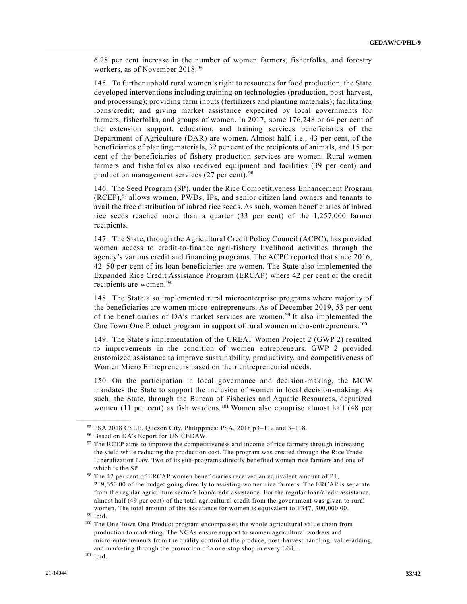6.28 per cent increase in the number of women farmers, fisherfolks, and forestry workers, as of November 2018.<sup>95</sup>

145. To further uphold rural women's right to resources for food production, the State developed interventions including training on technologies (production, post-harvest, and processing); providing farm inputs (fertilizers and planting materials); facilitating loans/credit; and giving market assistance expedited by local governments for farmers, fisherfolks, and groups of women. In 2017, some 176,248 or 64 per cent of the extension support, education, and training services beneficiaries of the Department of Agriculture (DAR) are women. Almost half, i.e., 43 per cent, of the beneficiaries of planting materials, 32 per cent of the recipients of animals, and 15 per cent of the beneficiaries of fishery production services are women. Rural women farmers and fisherfolks also received equipment and facilities (39 per cent) and production management services (27 per cent). <sup>96</sup>

146. The Seed Program (SP), under the Rice Competitiveness Enhancement Program  $(RCEP)$ ,<sup>97</sup> allows women, PWDs, IPs, and senior citizen land owners and tenants to avail the free distribution of inbred rice seeds. As such, women beneficiaries of inbred rice seeds reached more than a quarter (33 per cent) of the 1,257,000 farmer recipients.

147. The State, through the Agricultural Credit Policy Council (ACPC), has provided women access to credit-to-finance agri-fishery livelihood activities through the agency's various credit and financing programs. The ACPC reported that since 2016, 42–50 per cent of its loan beneficiaries are women. The State also implemented the Expanded Rice Credit Assistance Program (ERCAP) where 42 per cent of the credit recipients are women.<sup>98</sup>

148. The State also implemented rural microenterprise programs where majority of the beneficiaries are women micro-entrepreneurs. As of December 2019, 53 per cent of the beneficiaries of DA's market services are women. <sup>99</sup> It also implemented the One Town One Product program in support of rural women micro-entrepreneurs.<sup>100</sup>

149. The State's implementation of the GREAT Women Project 2 (GWP 2) resulted to improvements in the condition of women entrepreneurs. GWP 2 provided customized assistance to improve sustainability, productivity, and competitiveness of Women Micro Entrepreneurs based on their entrepreneurial needs.

150. On the participation in local governance and decision-making, the MCW mandates the State to support the inclusion of women in local decision-making. As such, the State, through the Bureau of Fisheries and Aquatic Resources, deputized women (11 per cent) as fish wardens.<sup>101</sup> Women also comprise almost half (48 per

<sup>95</sup> PSA 2018 GSLE. Quezon City, Philippines: PSA, 2018 p3–112 and 3–118.

<sup>96</sup> Based on DA's Report for UN CEDAW.

<sup>97</sup> The RCEP aims to improve the competitiveness and income of rice farmers through increasing the yield while reducing the production cost. The program was created through the Rice Trade Liberalization Law. Two of its sub-programs directly benefited women rice farmers and one of which is the SP.

<sup>98</sup> The 42 per cent of ERCAP women beneficiaries received an equivalent amount of P1, 219,650.00 of the budget going directly to assisting women rice farmers. The ERCAP is separate from the regular agriculture sector's loan/credit assistance. For the regular loan/credit assistance, almost half (49 per cent) of the total agricultural credit from the government was given to rural women. The total amount of this assistance for women is equivalent to P347, 300,000.00. <sup>99</sup> Ibid.

<sup>100</sup> The One Town One Product program encompasses the whole agricultural value chain from production to marketing. The NGAs ensure support to women agricultural workers and micro-entrepreneurs from the quality control of the produce, post-harvest handling, value-adding, and marketing through the promotion of a one-stop shop in every LGU.

<sup>101</sup> Ibid.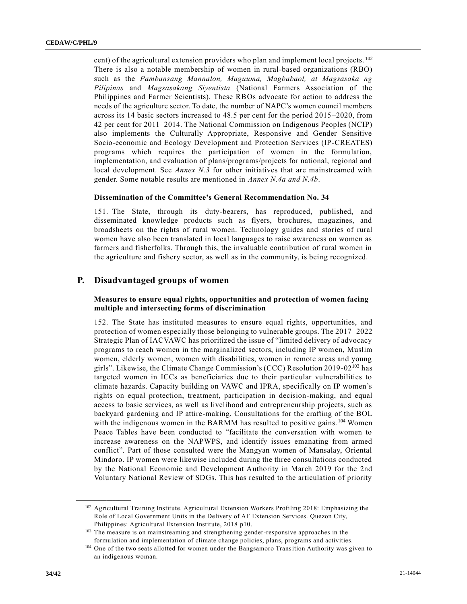cent) of the agricultural extension providers who plan and implement local projects. <sup>102</sup> There is also a notable membership of women in rural-based organizations (RBO) such as the *Pambansang Mannalon, Maguuma, Magbabaol, at Magsasaka ng Pilipinas* and *Magsasakang Siyentista* (National Farmers Association of the Philippines and Farmer Scientists). These RBOs advocate for action to address the needs of the agriculture sector. To date, the number of NAPC's women council members across its 14 basic sectors increased to 48.5 per cent for the period 2015 –2020, from 42 per cent for 2011–2014. The National Commission on Indigenous Peoples (NCIP) also implements the Culturally Appropriate, Responsive and Gender Sensitive Socio-economic and Ecology Development and Protection Services (IP-CREATES) programs which requires the participation of women in the formulation, implementation, and evaluation of plans/programs/projects for national, regional and local development. See *Annex N.3* for other initiatives that are mainstreamed with gender. Some notable results are mentioned in *Annex N.4a and N.4b*.

#### **Dissemination of the Committee's General Recommendation No. 34**

151. The State, through its duty-bearers, has reproduced, published, and disseminated knowledge products such as flyers, brochures, magazines, and broadsheets on the rights of rural women. Technology guides and stories of rural women have also been translated in local languages to raise awareness on women as farmers and fisherfolks. Through this, the invaluable contribution of rural women in the agriculture and fishery sector, as well as in the community, is being recognized.

### **P. Disadvantaged groups of women**

#### **Measures to ensure equal rights, opportunities and protection of women facing multiple and intersecting forms of discrimination**

152. The State has instituted measures to ensure equal rights, opportunities, and protection of women especially those belonging to vulnerable groups. The 2017–2022 Strategic Plan of IACVAWC has prioritized the issue of "limited delivery of advocacy programs to reach women in the marginalized sectors, including IP women, Muslim women, elderly women, women with disabilities, women in remote areas and young girls". Likewise, the Climate Change Commission's (CCC) Resolution 2019-02<sup>103</sup> has targeted women in ICCs as beneficiaries due to their particular vulnerabilities to climate hazards. Capacity building on VAWC and IPRA, specifically on IP women's rights on equal protection, treatment, participation in decision-making, and equal access to basic services, as well as livelihood and entrepreneurship projects, such as backyard gardening and IP attire-making. Consultations for the crafting of the BOL with the indigenous women in the BARMM has resulted to positive gains. <sup>104</sup> Women Peace Tables have been conducted to "facilitate the conversation with women to increase awareness on the NAPWPS, and identify issues emanating from armed conflict". Part of those consulted were the Mangyan women of Mansalay, Oriental Mindoro. IP women were likewise included during the three consultations conducted by the National Economic and Development Authority in March 2019 for the 2nd Voluntary National Review of SDGs. This has resulted to the articulation of priority

<sup>102</sup> Agricultural Training Institute. Agricultural Extension Workers Profiling 2018: Emphasizing the Role of Local Government Units in the Delivery of AF Extension Services. Quezon City, Philippines: Agricultural Extension Institute, 2018 p10.

<sup>&</sup>lt;sup>103</sup> The measure is on mainstreaming and strengthening gender-responsive approaches in the formulation and implementation of climate change policies, plans, programs and activities.

<sup>&</sup>lt;sup>104</sup> One of the two seats allotted for women under the Bangsamoro Transition Authority was given to an indigenous woman.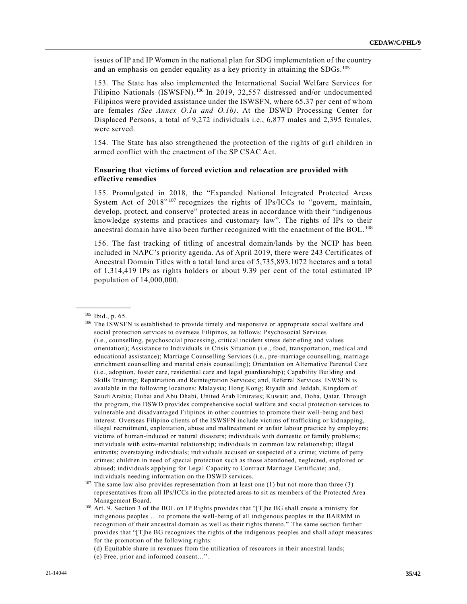issues of IP and IP Women in the national plan for SDG implementation of the country and an emphasis on gender equality as a key priority in attaining the SDGs.<sup>105</sup>

153. The State has also implemented the International Social Welfare Services for Filipino Nationals (ISWSFN).<sup>106</sup> In 2019, 32,557 distressed and/or undocumented Filipinos were provided assistance under the ISWSFN, where 65.37 per cent of whom are females *(See Annex O.1a and O.1b)*. At the DSWD Processing Center for Displaced Persons, a total of 9,272 individuals i.e., 6,877 males and 2,395 females, were served.

154. The State has also strengthened the protection of the rights of girl children in armed conflict with the enactment of the SP CSAC Act.

#### **Ensuring that victims of forced eviction and relocation are provided with effective remedies**

155. Promulgated in 2018, the "Expanded National Integrated Protected Areas System Act of  $2018^{307}$  recognizes the rights of IPs/ICCs to "govern, maintain, develop, protect, and conserve" protected areas in accordance with their "indigenous knowledge systems and practices and customary law". The rights of IPs to their ancestral domain have also been further recognized with the enactment of the BOL. <sup>108</sup>

156. The fast tracking of titling of ancestral domain/lands by the NCIP has been included in NAPC's priority agenda. As of April 2019, there were 243 Certificates of Ancestral Domain Titles with a total land area of 5,735,893.1072 hectares and a total of 1,314,419 IPs as rights holders or about 9.39 per cent of the total estimated IP population of 14,000,000.

**\_\_\_\_\_\_\_\_\_\_\_\_\_\_\_\_\_\_** <sup>105</sup> Ibid., p. 65.

<sup>&</sup>lt;sup>106</sup> The ISWSFN is established to provide timely and responsive or appropriate social welfare and social protection services to overseas Filipinos, as follows: Psychosocial Services (i.e., counselling, psychosocial processing, critical incident stress debriefing and values orientation); Assistance to Individuals in Crisis Situation (i.e., food, transportation, medical and educational assistance); Marriage Counselling Services (i.e., pre -marriage counselling, marriage enrichment counselling and marital crisis counselling); Orientation on Alternative Parental Care (i.e., adoption, foster care, residential care and legal guardianship); Capability Building and Skills Training; Repatriation and Reintegration Services; and, Referral Services. ISWSFN is available in the following locations: Malaysia; Hong Kong; Riyadh and Jeddah, Kingdom of Saudi Arabia; Dubai and Abu Dhabi, United Arab Emirates; Kuwait; and, Doha, Qatar. Through the program, the DSWD provides comprehensive social welfare and social protection services to vulnerable and disadvantaged Filipinos in other countries to promote their well-being and best interest. Overseas Filipino clients of the ISWSFN include victims of trafficking or kidnapping, illegal recruitment, exploitation, abuse and maltreatment or unfair labour practice by employers; victims of human-induced or natural disasters; individuals with domestic or family problems; individuals with extra-marital relationship; individuals in common law relationship; illegal entrants; overstaying individuals; individuals accused or suspected of a crime; victims of petty crimes; children in need of special protection such as those abandoned, neglected, exploited or abused; individuals applying for Legal Capacity to Contract Marriage Certificate; and, individuals needing information on the DSWD services.

 $107$  The same law also provides representation from at least one (1) but not more than three (3) representatives from all IPs/ICCs in the protected areas to sit as members of the Protected Area Management Board.

<sup>108</sup> Art. 9. Section 3 of the BOL on IP Rights provides that "[T]he BG shall create a ministry for indigenous peoples … to promote the well-being of all indigenous peoples in the BARMM in recognition of their ancestral domain as well as their rights thereto." The same section further provides that "[T]he BG recognizes the rights of the indigenous peoples and shall adopt measures for the promotion of the following rights:

<sup>(</sup>d) Equitable share in revenues from the utilization of resources in their ancestral lands;

<sup>(</sup>e) Free, prior and informed consent…".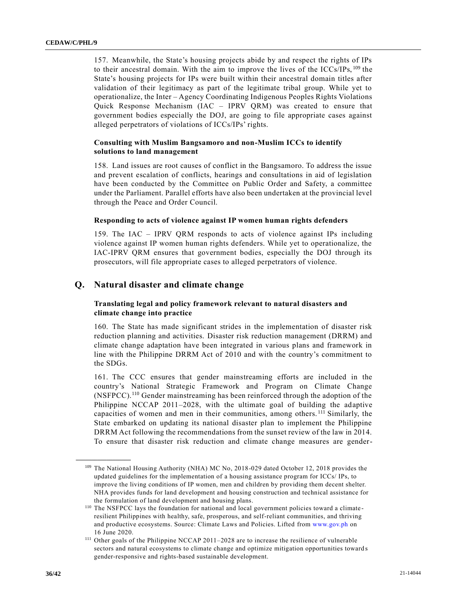157. Meanwhile, the State's housing projects abide by and respect the rights of IPs to their ancestral domain. With the aim to improve the lives of the ICCs/IPs, <sup>109</sup> the State's housing projects for IPs were built within their ancestral domain titles after validation of their legitimacy as part of the legitimate tribal group. While yet to operationalize, the Inter – Agency Coordinating Indigenous Peoples Rights Violations Quick Response Mechanism (IAC – IPRV QRM) was created to ensure that government bodies especially the DOJ, are going to file appropriate cases against alleged perpetrators of violations of ICCs/IPs' rights.

#### **Consulting with Muslim Bangsamoro and non-Muslim ICCs to identify solutions to land management**

158. Land issues are root causes of conflict in the Bangsamoro. To address the issue and prevent escalation of conflicts, hearings and consultations in aid of legislation have been conducted by the Committee on Public Order and Safety, a committee under the Parliament. Parallel efforts have also been undertaken at the provincial level through the Peace and Order Council.

#### **Responding to acts of violence against IP women human rights defenders**

159. The IAC – IPRV QRM responds to acts of violence against IPs including violence against IP women human rights defenders. While yet to operationalize, the IAC-IPRV QRM ensures that government bodies, especially the DOJ through its prosecutors, will file appropriate cases to alleged perpetrators of violence.

#### **Q. Natural disaster and climate change**

#### **Translating legal and policy framework relevant to natural disasters and climate change into practice**

160. The State has made significant strides in the implementation of disaster risk reduction planning and activities. Disaster risk reduction management (DRRM) and climate change adaptation have been integrated in various plans and framework in line with the Philippine DRRM Act of 2010 and with the country's commitment to the SDGs.

161. The CCC ensures that gender mainstreaming efforts are included in the country's National Strategic Framework and Program on Climate Change (NSFPCC).<sup>110</sup> Gender mainstreaming has been reinforced through the adoption of the Philippine NCCAP 2011–2028, with the ultimate goal of building the adaptive capacities of women and men in their communities, among others. <sup>111</sup> Similarly, the State embarked on updating its national disaster plan to implement the Philippine DRRM Act following the recommendations from the sunset review of the law in 2014. To ensure that disaster risk reduction and climate change measures are gender-

<sup>109</sup> The National Housing Authority (NHA) MC No, 2018-029 dated October 12, 2018 provides the updated guidelines for the implementation of a housing assistance program for ICCs/ IPs, to improve the living conditions of IP women, men and children by providing them decent shelter. NHA provides funds for land development and housing construction and technical assistance for the formulation of land development and housing plans.

<sup>110</sup> The NSFPCC lays the foundation for national and local government policies toward a climate resilient Philippines with healthy, safe, prosperous, and self-reliant communities, and thriving and productive ecosystems. Source: Climate Laws and Policies. Lifted from [www.gov.ph](http://www.gov.ph/) on 16 June 2020.

<sup>111</sup> Other goals of the Philippine NCCAP 2011–2028 are to increase the resilience of vulnerable sectors and natural ecosystems to climate change and optimize mitigation opportunities toward s gender-responsive and rights-based sustainable development.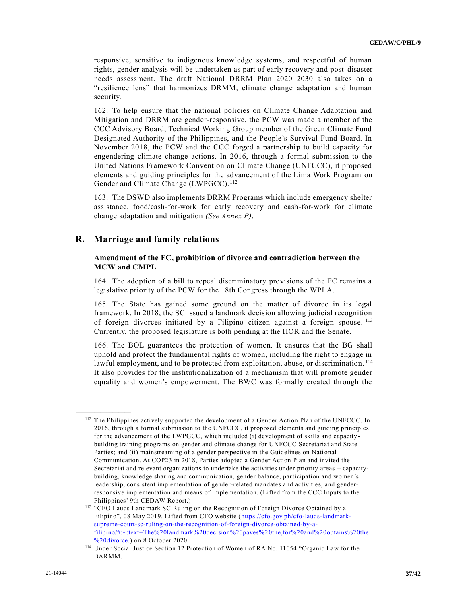responsive, sensitive to indigenous knowledge systems, and respectful of human rights, gender analysis will be undertaken as part of early recovery and post-disaster needs assessment. The draft National DRRM Plan 2020–2030 also takes on a "resilience lens" that harmonizes DRMM, climate change adaptation and human security.

162. To help ensure that the national policies on Climate Change Adaptation and Mitigation and DRRM are gender-responsive, the PCW was made a member of the CCC Advisory Board, Technical Working Group member of the Green Climate Fund Designated Authority of the Philippines, and the People's Survival Fund Board. In November 2018, the PCW and the CCC forged a partnership to build capacity for engendering climate change actions. In 2016, through a formal submission to the United Nations Framework Convention on Climate Change (UNFCCC), it proposed elements and guiding principles for the advancement of the Lima Work Program on Gender and Climate Change (LWPGCC).<sup>112</sup>

163. The DSWD also implements DRRM Programs which include emergency shelter assistance, food/cash-for-work for early recovery and cash-for-work for climate change adaptation and mitigation *(See Annex P)*.

### **R. Marriage and family relations**

**\_\_\_\_\_\_\_\_\_\_\_\_\_\_\_\_\_\_**

#### **Amendment of the FC, prohibition of divorce and contradiction between the MCW and CMPL**

164. The adoption of a bill to repeal discriminatory provisions of the FC remains a legislative priority of the PCW for the 18th Congress through the WPLA.

165. The State has gained some ground on the matter of divorce in its legal framework. In 2018, the SC issued a landmark decision allowing judicial recognition of foreign divorces initiated by a Filipino citizen against a foreign spouse. <sup>113</sup> Currently, the proposed legislature is both pending at the HOR and the Senate.

166. The BOL guarantees the protection of women. It ensures that the BG shall uphold and protect the fundamental rights of women, including the right to engage in lawful employment, and to be protected from exploitation, abuse, or discrimination.<sup>114</sup> It also provides for the institutionalization of a mechanism that will promote gender equality and women's empowerment. The BWC was formally created through the

<sup>&</sup>lt;sup>112</sup> The Philippines actively supported the development of a Gender Action Plan of the UNFCCC. In 2016, through a formal submission to the UNFCCC, it proposed elements and guiding principles for the advancement of the LWPGCC, which included (i) development of skills and capacity building training programs on gender and climate change for UNFCCC Secretariat and State Parties; and (ii) mainstreaming of a gender perspective in the Guidelines on National Communication. At COP23 in 2018, Parties adopted a Gender Action Plan and invited the Secretariat and relevant organizations to undertake the activities under priority areas – capacitybuilding, knowledge sharing and communication, gender balance, participation and women's leadership, consistent implementation of gender-related mandates and activities, and genderresponsive implementation and means of implementation. (Lifted from the CCC Inputs to the Philippines' 9th CEDAW Report.)

<sup>113</sup> "CFO Lauds Landmark SC Ruling on the Recognition of Foreign Divorce Obtained by a Filipino", 08 May 2019. Lifted from CFO website [\(https://cfo.gov.ph/cfo-lauds-landmark](https://cfo.gov.ph/cfo-lauds-landmark-supreme-court-sc-ruling-on-the-recognition-of-foreign-divorce-obtained-by-a-filipino/#:~:text=The%20landmark%20decision%20paves%20the,for%20and%20obtains%20the%20divorce)[supreme-court-sc-ruling-on-the-recognition-of-foreign-divorce-obtained-by-a](https://cfo.gov.ph/cfo-lauds-landmark-supreme-court-sc-ruling-on-the-recognition-of-foreign-divorce-obtained-by-a-filipino/#:~:text=The%20landmark%20decision%20paves%20the,for%20and%20obtains%20the%20divorce)[filipino/#:~:text=The%20landmark%20decision%20paves%20the,for%20and%20obtains%20the](https://cfo.gov.ph/cfo-lauds-landmark-supreme-court-sc-ruling-on-the-recognition-of-foreign-divorce-obtained-by-a-filipino/#:~:text=The%20landmark%20decision%20paves%20the,for%20and%20obtains%20the%20divorce) [%20divorce.](https://cfo.gov.ph/cfo-lauds-landmark-supreme-court-sc-ruling-on-the-recognition-of-foreign-divorce-obtained-by-a-filipino/#:~:text=The%20landmark%20decision%20paves%20the,for%20and%20obtains%20the%20divorce)) on 8 October 2020.

<sup>114</sup> Under Social Justice Section 12 Protection of Women of RA No. 11054 "Organic Law for the BARMM.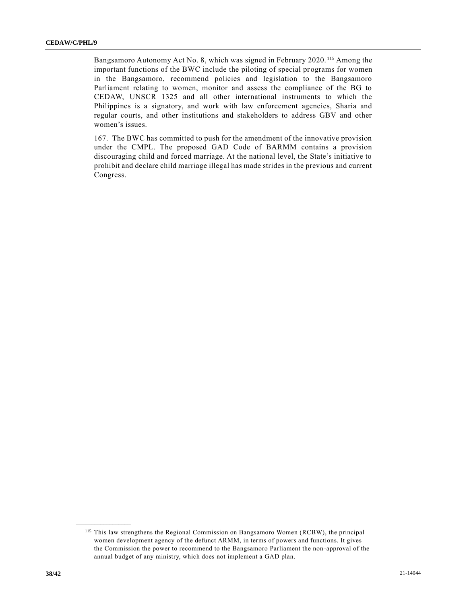Bangsamoro Autonomy Act No. 8, which was signed in February 2020. <sup>115</sup> Among the important functions of the BWC include the piloting of special programs for women in the Bangsamoro, recommend policies and legislation to the Bangsamoro Parliament relating to women, monitor and assess the compliance of the BG to CEDAW, UNSCR 1325 and all other international instruments to which the Philippines is a signatory, and work with law enforcement agencies, Sharia and regular courts, and other institutions and stakeholders to address GBV and other women's issues.

167. The BWC has committed to push for the amendment of the innovative provision under the CMPL. The proposed GAD Code of BARMM contains a provision discouraging child and forced marriage. At the national level, the State's initiative to prohibit and declare child marriage illegal has made strides in the previous and current Congress.

<sup>115</sup> This law strengthens the Regional Commission on Bangsamoro Women (RCBW), the principal women development agency of the defunct ARMM, in terms of powers and functions. It gives the Commission the power to recommend to the Bangsamoro Parliament the non -approval of the annual budget of any ministry, which does not implement a GAD plan.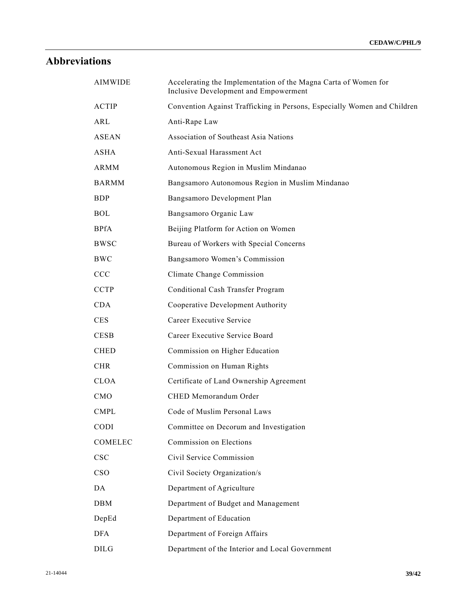## **Abbreviations**

| <b>AIMWIDE</b> | Accelerating the Implementation of the Magna Carta of Women for<br>Inclusive Development and Empowerment |
|----------------|----------------------------------------------------------------------------------------------------------|
| <b>ACTIP</b>   | Convention Against Trafficking in Persons, Especially Women and Children                                 |
| ARL            | Anti-Rape Law                                                                                            |
| ASEAN          | Association of Southeast Asia Nations                                                                    |
| <b>ASHA</b>    | Anti-Sexual Harassment Act                                                                               |
| ARMM           | Autonomous Region in Muslim Mindanao                                                                     |
| <b>BARMM</b>   | Bangsamoro Autonomous Region in Muslim Mindanao                                                          |
| <b>BDP</b>     | Bangsamoro Development Plan                                                                              |
| <b>BOL</b>     | Bangsamoro Organic Law                                                                                   |
| <b>BPfA</b>    | Beijing Platform for Action on Women                                                                     |
| <b>BWSC</b>    | Bureau of Workers with Special Concerns                                                                  |
| <b>BWC</b>     | Bangsamoro Women's Commission                                                                            |
| CCC            | Climate Change Commission                                                                                |
| <b>CCTP</b>    | Conditional Cash Transfer Program                                                                        |
| <b>CDA</b>     | Cooperative Development Authority                                                                        |
| <b>CES</b>     | Career Executive Service                                                                                 |
| <b>CESB</b>    | Career Executive Service Board                                                                           |
| <b>CHED</b>    | Commission on Higher Education                                                                           |
| <b>CHR</b>     | Commission on Human Rights                                                                               |
| <b>CLOA</b>    | Certificate of Land Ownership Agreement                                                                  |
| <b>CMO</b>     | CHED Memorandum Order                                                                                    |
| <b>CMPL</b>    | Code of Muslim Personal Laws                                                                             |
| <b>CODI</b>    | Committee on Decorum and Investigation                                                                   |
| COMELEC        | Commission on Elections                                                                                  |
| <b>CSC</b>     | Civil Service Commission                                                                                 |
| <b>CSO</b>     | Civil Society Organization/s                                                                             |
| DA             | Department of Agriculture                                                                                |
| <b>DBM</b>     | Department of Budget and Management                                                                      |
| DepEd          | Department of Education                                                                                  |
| <b>DFA</b>     | Department of Foreign Affairs                                                                            |
| <b>DILG</b>    | Department of the Interior and Local Government                                                          |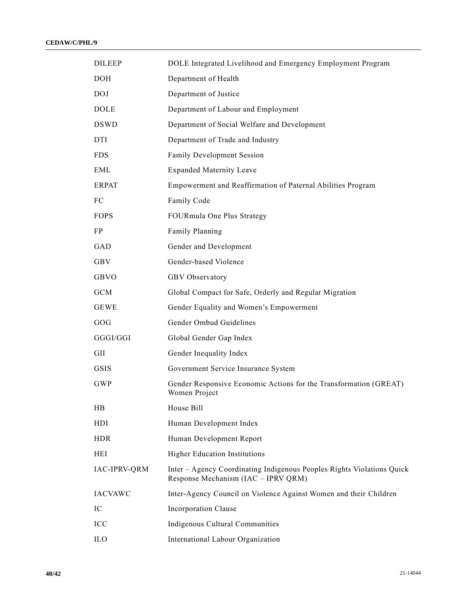| <b>DILEEP</b>       | DOLE Integrated Livelihood and Emergency Employment Program                                                   |
|---------------------|---------------------------------------------------------------------------------------------------------------|
| <b>DOH</b>          | Department of Health                                                                                          |
| <b>DOJ</b>          | Department of Justice                                                                                         |
| <b>DOLE</b>         | Department of Labour and Employment                                                                           |
| <b>DSWD</b>         | Department of Social Welfare and Development                                                                  |
| DTI                 | Department of Trade and Industry                                                                              |
| <b>FDS</b>          | Family Development Session                                                                                    |
| EML                 | <b>Expanded Maternity Leave</b>                                                                               |
| <b>ERPAT</b>        | Empowerment and Reaffirmation of Paternal Abilities Program                                                   |
| FC.                 | Family Code                                                                                                   |
| <b>FOPS</b>         | FOURmula One Plus Strategy                                                                                    |
| FP                  | Family Planning                                                                                               |
| GAD                 | Gender and Development                                                                                        |
| GBV                 | Gender-based Violence                                                                                         |
| GBVO                | GBV Observatory                                                                                               |
| <b>GCM</b>          | Global Compact for Safe, Orderly and Regular Migration                                                        |
| <b>GEWE</b>         | Gender Equality and Women's Empowerment                                                                       |
| GOG                 | Gender Ombud Guidelines                                                                                       |
| GGGI/GGI            | Global Gender Gap Index                                                                                       |
| GII                 | Gender Inequality Index                                                                                       |
| <b>GSIS</b>         | Government Service Insurance System                                                                           |
| <b>GWP</b>          | Gender Responsive Economic Actions for the Transformation (GREAT)<br>Women Project                            |
| HB                  | House Bill                                                                                                    |
| HDI                 | Human Development Index                                                                                       |
| <b>HDR</b>          | Human Development Report                                                                                      |
| HEI                 | <b>Higher Education Institutions</b>                                                                          |
| <b>IAC-IPRV-QRM</b> | Inter – Agency Coordinating Indigenous Peoples Rights Violations Quick<br>Response Mechanism (IAC - IPRV QRM) |
| <b>IACVAWC</b>      | Inter-Agency Council on Violence Against Women and their Children                                             |
| IC                  | Incorporation Clause                                                                                          |
| ICC                 | Indigenous Cultural Communities                                                                               |
| IL <sub>O</sub>     | International Labour Organization                                                                             |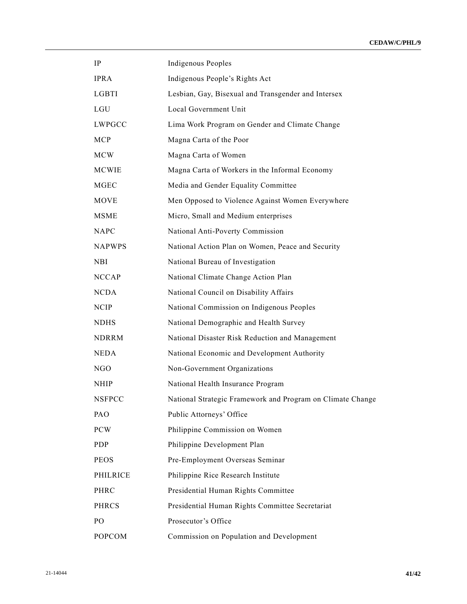| $\rm IP$        | <b>Indigenous Peoples</b>                                  |
|-----------------|------------------------------------------------------------|
| <b>IPRA</b>     | Indigenous People's Rights Act                             |
| LGBTI           | Lesbian, Gay, Bisexual and Transgender and Intersex        |
| LGU             | Local Government Unit                                      |
| <b>LWPGCC</b>   | Lima Work Program on Gender and Climate Change             |
| <b>MCP</b>      | Magna Carta of the Poor                                    |
| <b>MCW</b>      | Magna Carta of Women                                       |
| MCWIE           | Magna Carta of Workers in the Informal Economy             |
| <b>MGEC</b>     | Media and Gender Equality Committee                        |
| <b>MOVE</b>     | Men Opposed to Violence Against Women Everywhere           |
| <b>MSME</b>     | Micro, Small and Medium enterprises                        |
| <b>NAPC</b>     | National Anti-Poverty Commission                           |
| <b>NAPWPS</b>   | National Action Plan on Women, Peace and Security          |
| <b>NBI</b>      | National Bureau of Investigation                           |
| <b>NCCAP</b>    | National Climate Change Action Plan                        |
| <b>NCDA</b>     | National Council on Disability Affairs                     |
| <b>NCIP</b>     | National Commission on Indigenous Peoples                  |
| <b>NDHS</b>     | National Demographic and Health Survey                     |
| <b>NDRRM</b>    | National Disaster Risk Reduction and Management            |
| <b>NEDA</b>     | National Economic and Development Authority                |
| NGO             | Non-Government Organizations                               |
| <b>NHIP</b>     | National Health Insurance Program                          |
| <b>NSFPCC</b>   | National Strategic Framework and Program on Climate Change |
| PAO             | Public Attorneys' Office                                   |
| <b>PCW</b>      | Philippine Commission on Women                             |
| <b>PDP</b>      | Philippine Development Plan                                |
| <b>PEOS</b>     | Pre-Employment Overseas Seminar                            |
| <b>PHILRICE</b> | Philippine Rice Research Institute                         |
| PHRC            | Presidential Human Rights Committee                        |
| <b>PHRCS</b>    | Presidential Human Rights Committee Secretariat            |
| PO              | Prosecutor's Office                                        |
| <b>POPCOM</b>   | Commission on Population and Development                   |